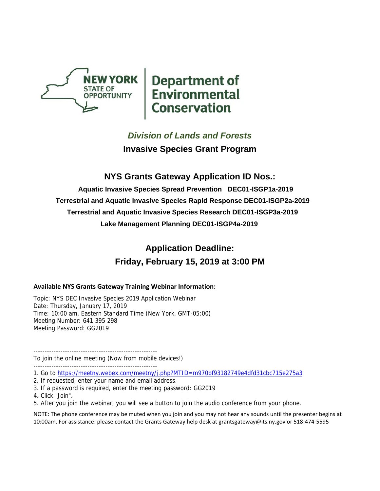

**NEW YORK**<br> **Department of**<br> **Environmental**<br> **Conservation** 

# *Division of Lands and Forests*

**Invasive Species Grant Program** 

# **NYS Grants Gateway Application ID Nos.:**

**Aquatic Invasive Species Spread Prevention DEC01-ISGP1a-2019 Terrestrial and Aquatic Invasive Species Rapid Response DEC01-ISGP2a-2019 Terrestrial and Aquatic Invasive Species Research DEC01-ISGP3a-2019 Lake Management Planning DEC01-ISGP4a-2019** 

# **Application Deadline: Friday, February 15, 2019 at 3:00 PM**

#### **Available NYS Grants Gateway Training Webinar Information:**

Topic: NYS DEC Invasive Species 2019 Application Webinar Date: Thursday, January 17, 2019 Time: 10:00 am, Eastern Standard Time (New York, GMT-05:00) Meeting Number: 641 395 298 Meeting Password: GG2019

------------------------------------------------------- To join the online meeting (Now from mobile devices!) -------------------------------------------------------

#### 1. Go to https://meetny.webex.com/meetny/j.php?MTID=m970bf93182749e4dfd31cbc715e275a3

- 2. If requested, enter your name and email address.
- 3. If a password is required, enter the meeting password: GG2019
- 4. Click "Join".
- 5. After you join the webinar, you will see a button to join the audio conference from your phone.

NOTE: The phone conference may be muted when you join and you may not hear any sounds until the presenter begins at 10:00am. For assistance: please contact the Grants Gateway help desk at grantsgateway@its.ny.gov or 518‐474‐5595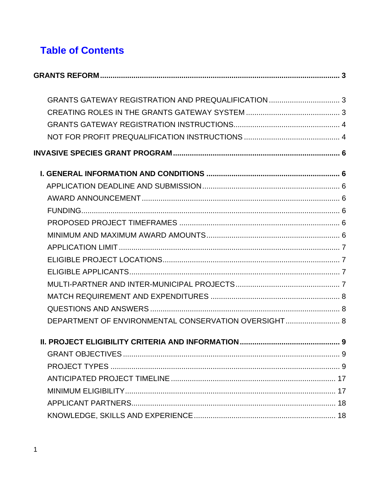# **Table of Contents**

| DEPARTMENT OF ENVIRONMENTAL CONSERVATION OVERSIGHT 8 |  |
|------------------------------------------------------|--|
|                                                      |  |
|                                                      |  |
|                                                      |  |
|                                                      |  |
|                                                      |  |
|                                                      |  |
|                                                      |  |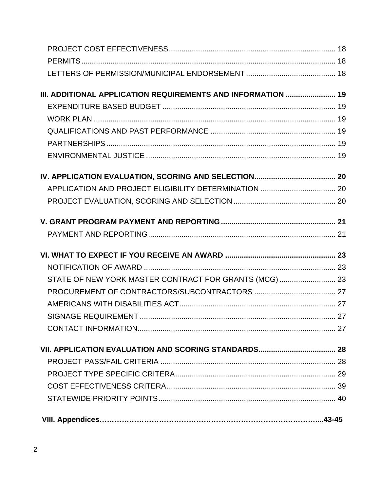| III. ADDITIONAL APPLICATION REQUIREMENTS AND INFORMATION  19 |  |
|--------------------------------------------------------------|--|
|                                                              |  |
|                                                              |  |
|                                                              |  |
|                                                              |  |
|                                                              |  |
|                                                              |  |
|                                                              |  |
|                                                              |  |
|                                                              |  |
|                                                              |  |
|                                                              |  |
|                                                              |  |
| STATE OF NEW YORK MASTER CONTRACT FOR GRANTS (MCG)  23       |  |
|                                                              |  |
|                                                              |  |
|                                                              |  |
|                                                              |  |
|                                                              |  |
|                                                              |  |
|                                                              |  |
|                                                              |  |
|                                                              |  |
|                                                              |  |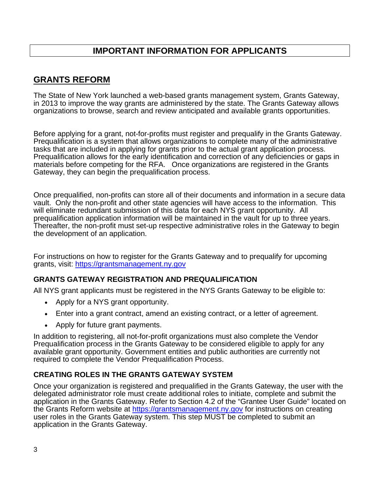# **IMPORTANT INFORMATION FOR APPLICANTS**

# **GRANTS REFORM**

The State of New York launched a web-based grants management system, Grants Gateway, in 2013 to improve the way grants are administered by the state. The Grants Gateway allows organizations to browse, search and review anticipated and available grants opportunities.

Before applying for a grant, not-for-profits must register and prequalify in the Grants Gateway. Prequalification is a system that allows organizations to complete many of the administrative tasks that are included in applying for grants prior to the actual grant application process. Prequalification allows for the early identification and correction of any deficiencies or gaps in materials before competing for the RFA. Once organizations are registered in the Grants Gateway, they can begin the prequalification process.

Once prequalified, non-profits can store all of their documents and information in a secure data vault. Only the non-profit and other state agencies will have access to the information. This will eliminate redundant submission of this data for each NYS grant opportunity. All prequalification application information will be maintained in the vault for up to three years. Thereafter, the non-profit must set-up respective administrative roles in the Gateway to begin the development of an application.

For instructions on how to register for the Grants Gateway and to prequalify for upcoming grants, visit: https://grantsmanagement.ny.gov

#### **GRANTS GATEWAY REGISTRATION AND PREQUALIFICATION**

All NYS grant applicants must be registered in the NYS Grants Gateway to be eligible to:

- Apply for a NYS grant opportunity.
- Enter into a grant contract, amend an existing contract, or a letter of agreement.
- Apply for future grant payments.

In addition to registering, all not-for-profit organizations must also complete the Vendor Prequalification process in the Grants Gateway to be considered eligible to apply for any available grant opportunity. Government entities and public authorities are currently not required to complete the Vendor Prequalification Process.

#### **CREATING ROLES IN THE GRANTS GATEWAY SYSTEM**

Once your organization is registered and prequalified in the Grants Gateway, the user with the delegated administrator role must create additional roles to initiate, complete and submit the application in the Grants Gateway. Refer to Section 4.2 of the "Grantee User Guide" located on the Grants Reform website at https://grantsmanagement.ny.gov for instructions on creating user roles in the Grants Gateway system. This step MUST be completed to submit an application in the Grants Gateway.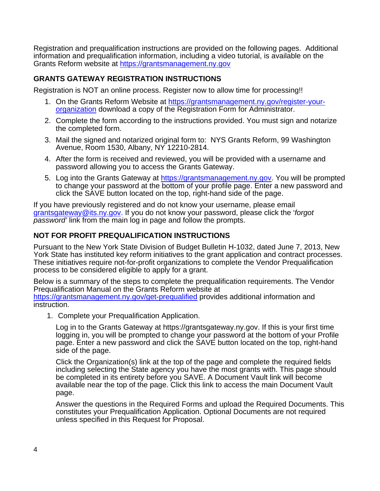Registration and prequalification instructions are provided on the following pages. Additional information and prequalification information, including a video tutorial, is available on the Grants Reform website at https://grantsmanagement.ny.gov

#### **GRANTS GATEWAY REGISTRATION INSTRUCTIONS**

Registration is NOT an online process. Register now to allow time for processing!!

- 1. On the Grants Reform Website at https://grantsmanagement.ny.gov/register-yourorganization download a copy of the Registration Form for Administrator.
- 2. Complete the form according to the instructions provided. You must sign and notarize the completed form.
- 3. Mail the signed and notarized original form to: NYS Grants Reform, 99 Washington Avenue, Room 1530, Albany, NY 12210-2814.
- 4. After the form is received and reviewed, you will be provided with a username and password allowing you to access the Grants Gateway.
- 5. Log into the Grants Gateway at https://grantsmanagement.ny.gov. You will be prompted to change your password at the bottom of your profile page. Enter a new password and click the SAVE button located on the top, right-hand side of the page.

If you have previously registered and do not know your username, please email grantsgateway@its.ny.gov. If you do not know your password, please click the '*forgot password'* link from the main log in page and follow the prompts.

#### **NOT FOR PROFIT PREQUALIFICATION INSTRUCTIONS**

Pursuant to the New York State Division of Budget Bulletin H-1032, dated June 7, 2013, New York State has instituted key reform initiatives to the grant application and contract processes. These initiatives require not-for-profit organizations to complete the Vendor Prequalification process to be considered eligible to apply for a grant.

Below is a summary of the steps to complete the prequalification requirements. The Vendor Prequalification Manual on the Grants Reform website at https://grantsmanagement.ny.gov/get-prequalified provides additional information and instruction.

1. Complete your Prequalification Application.

Log in to the Grants Gateway at https://grantsgateway.ny.gov. If this is your first time logging in, you will be prompted to change your password at the bottom of your Profile page. Enter a new password and click the SAVE button located on the top, right-hand side of the page.

Click the Organization(s) link at the top of the page and complete the required fields including selecting the State agency you have the most grants with. This page should be completed in its entirety before you SAVE. A Document Vault link will become available near the top of the page. Click this link to access the main Document Vault page.

Answer the questions in the Required Forms and upload the Required Documents. This constitutes your Prequalification Application. Optional Documents are not required unless specified in this Request for Proposal.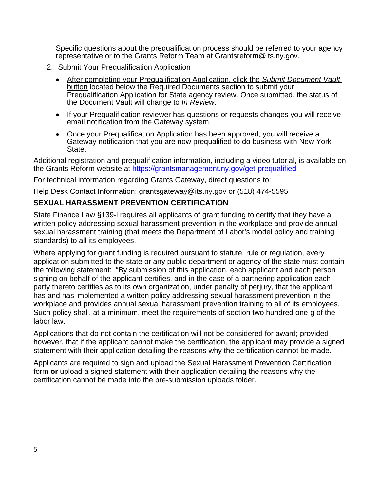Specific questions about the prequalification process should be referred to your agency representative or to the Grants Reform Team at Grantsreform@its.ny.gov.

- 2. Submit Your Prequalification Application
	- After completing your Prequalification Application, click the *Submit Document Vault* button located below the Required Documents section to submit your Prequalification Application for State agency review. Once submitted, the status of the Document Vault will change to *In Review*.
	- If your Prequalification reviewer has questions or requests changes you will receive email notification from the Gateway system.
	- Once your Prequalification Application has been approved, you will receive a Gateway notification that you are now prequalified to do business with New York State.

Additional registration and prequalification information, including a video tutorial, is available on the Grants Reform website at https://grantsmanagement.ny.gov/get-prequalified

For technical information regarding Grants Gateway, direct questions to:

Help Desk Contact Information: grantsgateway@its.ny.gov or (518) 474-5595

#### **SEXUAL HARASSMENT PREVENTION CERTIFICATION**

State Finance Law §139-l requires all applicants of grant funding to certify that they have a written policy addressing sexual harassment prevention in the workplace and provide annual sexual harassment training (that meets the Department of Labor's model policy and training standards) to all its employees.

Where applying for grant funding is required pursuant to statute, rule or regulation, every application submitted to the state or any public department or agency of the state must contain the following statement: "By submission of this application, each applicant and each person signing on behalf of the applicant certifies, and in the case of a partnering application each party thereto certifies as to its own organization, under penalty of perjury, that the applicant has and has implemented a written policy addressing sexual harassment prevention in the workplace and provides annual sexual harassment prevention training to all of its employees. Such policy shall, at a minimum, meet the requirements of section two hundred one-g of the labor law."

Applications that do not contain the certification will not be considered for award; provided however, that if the applicant cannot make the certification, the applicant may provide a signed statement with their application detailing the reasons why the certification cannot be made.

Applicants are required to sign and upload the Sexual Harassment Prevention Certification form **or** upload a signed statement with their application detailing the reasons why the certification cannot be made into the pre-submission uploads folder.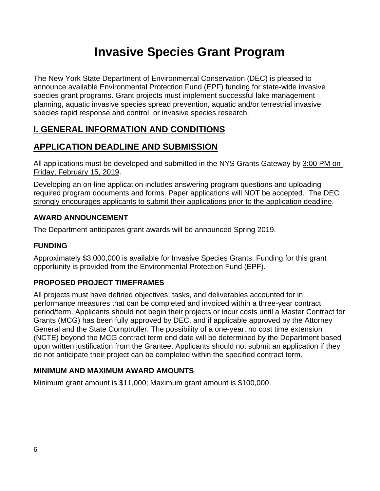# **Invasive Species Grant Program**

The New York State Department of Environmental Conservation (DEC) is pleased to announce available Environmental Protection Fund (EPF) funding for state-wide invasive species grant programs. Grant projects must implement successful lake management planning, aquatic invasive species spread prevention, aquatic and/or terrestrial invasive species rapid response and control, or invasive species research.

# **I. GENERAL INFORMATION AND CONDITIONS**

# **APPLICATION DEADLINE AND SUBMISSION**

All applications must be developed and submitted in the NYS Grants Gateway by 3:00 PM on Friday, February 15, 2019.

Developing an on-line application includes answering program questions and uploading required program documents and forms. Paper applications will NOT be accepted. The DEC strongly encourages applicants to submit their applications prior to the application deadline.

# **AWARD ANNOUNCEMENT**

The Department anticipates grant awards will be announced Spring 2019.

# **FUNDING**

Approximately \$3,000,000 is available for Invasive Species Grants. Funding for this grant opportunity is provided from the Environmental Protection Fund (EPF).

# **PROPOSED PROJECT TIMEFRAMES**

All projects must have defined objectives, tasks, and deliverables accounted for in performance measures that can be completed and invoiced within a three-year contract period/term. Applicants should not begin their projects or incur costs until a Master Contract for Grants (MCG) has been fully approved by DEC, and if applicable approved by the Attorney General and the State Comptroller. The possibility of a one-year, no cost time extension (NCTE) beyond the MCG contract term end date will be determined by the Department based upon written justification from the Grantee. Applicants should not submit an application if they do not anticipate their project can be completed within the specified contract term.

# **MINIMUM AND MAXIMUM AWARD AMOUNTS**

Minimum grant amount is \$11,000; Maximum grant amount is \$100,000.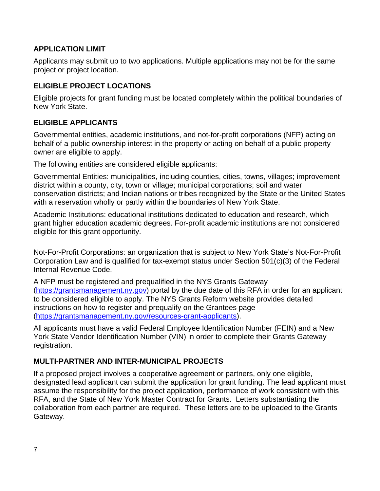### **APPLICATION LIMIT**

Applicants may submit up to two applications. Multiple applications may not be for the same project or project location.

# **ELIGIBLE PROJECT LOCATIONS**

Eligible projects for grant funding must be located completely within the political boundaries of New York State.

# **ELIGIBLE APPLICANTS**

Governmental entities, academic institutions, and not-for-profit corporations (NFP) acting on behalf of a public ownership interest in the property or acting on behalf of a public property owner are eligible to apply.

The following entities are considered eligible applicants:

Governmental Entities: municipalities, including counties, cities, towns, villages; improvement district within a county, city, town or village; municipal corporations; soil and water conservation districts; and Indian nations or tribes recognized by the State or the United States with a reservation wholly or partly within the boundaries of New York State.

Academic Institutions: educational institutions dedicated to education and research, which grant higher education academic degrees. For-profit academic institutions are not considered eligible for this grant opportunity.

Not-For-Profit Corporations: an organization that is subject to New York State's Not-For-Profit Corporation Law and is qualified for tax-exempt status under Section 501(c)(3) of the Federal Internal Revenue Code.

A NFP must be registered and prequalified in the NYS Grants Gateway (https://grantsmanagement.ny.gov) portal by the due date of this RFA in order for an applicant to be considered eligible to apply. The NYS Grants Reform website provides detailed instructions on how to register and prequalify on the Grantees page (https://grantsmanagement.ny.gov/resources-grant-applicants).

All applicants must have a valid Federal Employee Identification Number (FEIN) and a New York State Vendor Identification Number (VIN) in order to complete their Grants Gateway registration.

# **MULTI-PARTNER AND INTER-MUNICIPAL PROJECTS**

If a proposed project involves a cooperative agreement or partners, only one eligible, designated lead applicant can submit the application for grant funding. The lead applicant must assume the responsibility for the project application, performance of work consistent with this RFA, and the State of New York Master Contract for Grants. Letters substantiating the collaboration from each partner are required. These letters are to be uploaded to the Grants Gateway.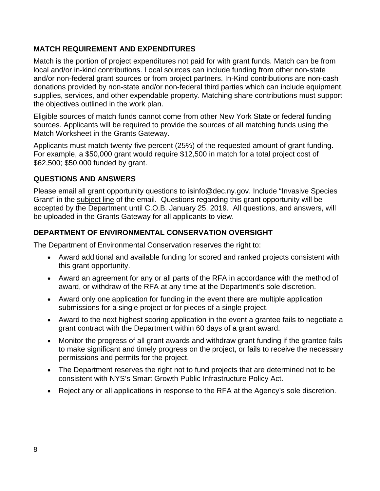# **MATCH REQUIREMENT AND EXPENDITURES**

Match is the portion of project expenditures not paid for with grant funds. Match can be from local and/or in-kind contributions. Local sources can include funding from other non-state and/or non-federal grant sources or from project partners. In-Kind contributions are non-cash donations provided by non-state and/or non-federal third parties which can include equipment, supplies, services, and other expendable property. Matching share contributions must support the objectives outlined in the work plan.

Eligible sources of match funds cannot come from other New York State or federal funding sources. Applicants will be required to provide the sources of all matching funds using the Match Worksheet in the Grants Gateway.

Applicants must match twenty-five percent (25%) of the requested amount of grant funding. For example, a \$50,000 grant would require \$12,500 in match for a total project cost of \$62,500; \$50,000 funded by grant.

# **QUESTIONS AND ANSWERS**

Please email all grant opportunity questions to isinfo@dec.ny.gov. Include "Invasive Species Grant" in the subject line of the email. Questions regarding this grant opportunity will be accepted by the Department until C.O.B. January 25, 2019*.* All questions, and answers, will be uploaded in the Grants Gateway for all applicants to view.

# **DEPARTMENT OF ENVIRONMENTAL CONSERVATION OVERSIGHT**

The Department of Environmental Conservation reserves the right to:

- Award additional and available funding for scored and ranked projects consistent with this grant opportunity.
- Award an agreement for any or all parts of the RFA in accordance with the method of award, or withdraw of the RFA at any time at the Department's sole discretion.
- Award only one application for funding in the event there are multiple application submissions for a single project or for pieces of a single project.
- Award to the next highest scoring application in the event a grantee fails to negotiate a grant contract with the Department within 60 days of a grant award.
- Monitor the progress of all grant awards and withdraw grant funding if the grantee fails to make significant and timely progress on the project, or fails to receive the necessary permissions and permits for the project.
- The Department reserves the right not to fund projects that are determined not to be consistent with NYS's Smart Growth Public Infrastructure Policy Act.
- Reject any or all applications in response to the RFA at the Agency's sole discretion.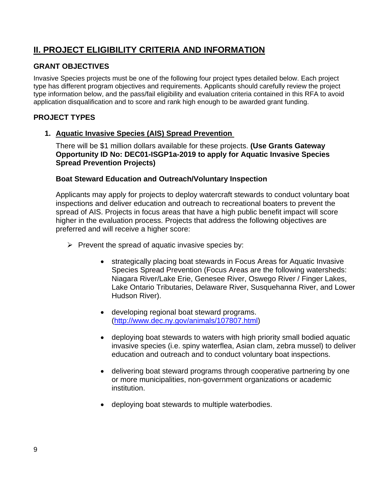# **II. PROJECT ELIGIBILITY CRITERIA AND INFORMATION**

# **GRANT OBJECTIVES**

Invasive Species projects must be one of the following four project types detailed below. Each project type has different program objectives and requirements. Applicants should carefully review the project type information below, and the pass/fail eligibility and evaluation criteria contained in this RFA to avoid application disqualification and to score and rank high enough to be awarded grant funding.

# **PROJECT TYPES**

#### **1. Aquatic Invasive Species (AIS) Spread Prevention**

There will be \$1 million dollars available for these projects. **(Use Grants Gateway Opportunity ID No: DEC01-ISGP1a-2019 to apply for Aquatic Invasive Species Spread Prevention Projects)** 

#### **Boat Steward Education and Outreach/Voluntary Inspection**

Applicants may apply for projects to deploy watercraft stewards to conduct voluntary boat inspections and deliver education and outreach to recreational boaters to prevent the spread of AIS. Projects in focus areas that have a high public benefit impact will score higher in the evaluation process. Projects that address the following objectives are preferred and will receive a higher score:

- $\triangleright$  Prevent the spread of aquatic invasive species by:
	- strategically placing boat stewards in Focus Areas for Aquatic Invasive Species Spread Prevention (Focus Areas are the following watersheds: Niagara River/Lake Erie, Genesee River, Oswego River / Finger Lakes, Lake Ontario Tributaries, Delaware River, Susquehanna River, and Lower Hudson River).
	- developing regional boat steward programs. (http://www.dec.ny.gov/animals/107807.html)
	- deploying boat stewards to waters with high priority small bodied aquatic invasive species (i.e. spiny waterflea, Asian clam, zebra mussel) to deliver education and outreach and to conduct voluntary boat inspections.
	- delivering boat steward programs through cooperative partnering by one or more municipalities, non-government organizations or academic institution.
	- deploying boat stewards to multiple waterbodies.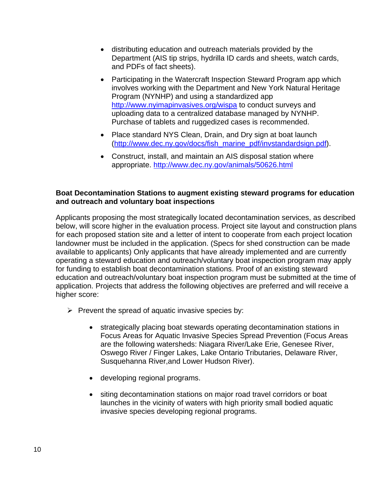- distributing education and outreach materials provided by the Department (AIS tip strips, hydrilla ID cards and sheets, watch cards, and PDFs of fact sheets).
- Participating in the Watercraft Inspection Steward Program app which involves working with the Department and New York Natural Heritage Program (NYNHP) and using a standardized app http://www.nyimapinvasives.org/wispa to conduct surveys and uploading data to a centralized database managed by NYNHP. Purchase of tablets and ruggedized cases is recommended.
- Place standard NYS Clean, Drain, and Dry sign at boat launch (http://www.dec.ny.gov/docs/fish\_marine\_pdf/invstandardsign.pdf).
- Construct, install, and maintain an AIS disposal station where appropriate. http://www.dec.ny.gov/animals/50626.html

#### **Boat Decontamination Stations to augment existing steward programs for education and outreach and voluntary boat inspections**

Applicants proposing the most strategically located decontamination services, as described below, will score higher in the evaluation process. Project site layout and construction plans for each proposed station site and a letter of intent to cooperate from each project location landowner must be included in the application. (Specs for shed construction can be made available to applicants) Only applicants that have already implemented and are currently operating a steward education and outreach/voluntary boat inspection program may apply for funding to establish boat decontamination stations. Proof of an existing steward education and outreach/voluntary boat inspection program must be submitted at the time of application. Projects that address the following objectives are preferred and will receive a higher score:

- $\triangleright$  Prevent the spread of aquatic invasive species by:
	- strategically placing boat stewards operating decontamination stations in Focus Areas for Aquatic Invasive Species Spread Prevention (Focus Areas are the following watersheds: Niagara River/Lake Erie, Genesee River, Oswego River / Finger Lakes, Lake Ontario Tributaries, Delaware River, Susquehanna River,and Lower Hudson River).
	- developing regional programs.
	- siting decontamination stations on major road travel corridors or boat launches in the vicinity of waters with high priority small bodied aquatic invasive species developing regional programs.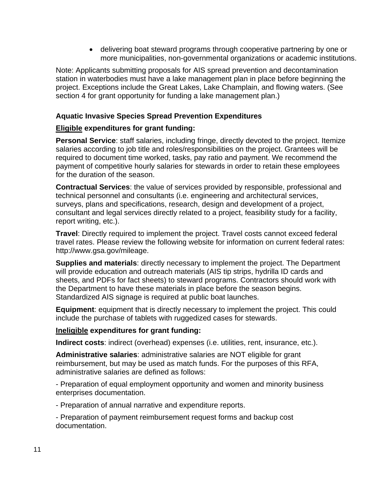delivering boat steward programs through cooperative partnering by one or more municipalities, non-governmental organizations or academic institutions.

Note: Applicants submitting proposals for AIS spread prevention and decontamination station in waterbodies must have a lake management plan in place before beginning the project. Exceptions include the Great Lakes, Lake Champlain, and flowing waters. (See section 4 for grant opportunity for funding a lake management plan.)

#### **Aquatic Invasive Species Spread Prevention Expenditures**

#### **Eligible expenditures for grant funding:**

**Personal Service**: staff salaries, including fringe, directly devoted to the project. Itemize salaries according to job title and roles/responsibilities on the project. Grantees will be required to document time worked, tasks, pay ratio and payment. We recommend the payment of competitive hourly salaries for stewards in order to retain these employees for the duration of the season.

**Contractual Services**: the value of services provided by responsible, professional and technical personnel and consultants (i.e. engineering and architectural services, surveys, plans and specifications, research, design and development of a project, consultant and legal services directly related to a project, feasibility study for a facility, report writing, etc.).

**Travel**: Directly required to implement the project. Travel costs cannot exceed federal travel rates. Please review the following website for information on current federal rates: http://www.gsa.gov/mileage.

**Supplies and materials**: directly necessary to implement the project. The Department will provide education and outreach materials (AIS tip strips, hydrilla ID cards and sheets, and PDFs for fact sheets) to steward programs. Contractors should work with the Department to have these materials in place before the season begins. Standardized AIS signage is required at public boat launches.

**Equipment**: equipment that is directly necessary to implement the project. This could include the purchase of tablets with ruggedized cases for stewards.

#### **Ineligible expenditures for grant funding:**

**Indirect costs**: indirect (overhead) expenses (i.e. utilities, rent, insurance, etc.).

**Administrative salaries**: administrative salaries are NOT eligible for grant reimbursement, but may be used as match funds. For the purposes of this RFA, administrative salaries are defined as follows:

- Preparation of equal employment opportunity and women and minority business enterprises documentation.

- Preparation of annual narrative and expenditure reports.

- Preparation of payment reimbursement request forms and backup cost documentation.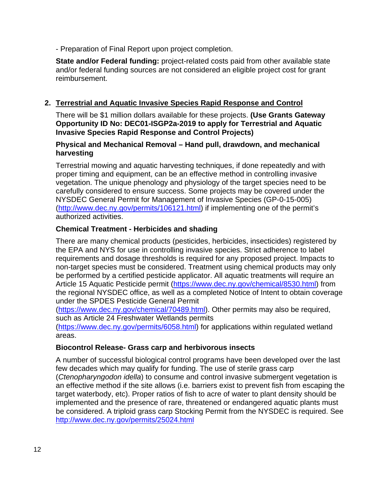- Preparation of Final Report upon project completion.

**State and/or Federal funding:** project-related costs paid from other available state and/or federal funding sources are not considered an eligible project cost for grant reimbursement.

# **2. Terrestrial and Aquatic Invasive Species Rapid Response and Control**

There will be \$1 million dollars available for these projects. **(Use Grants Gateway Opportunity ID No: DEC01-ISGP2a-2019 to apply for Terrestrial and Aquatic Invasive Species Rapid Response and Control Projects)** 

#### **Physical and Mechanical Removal – Hand pull, drawdown, and mechanical harvesting**

Terrestrial mowing and aquatic harvesting techniques, if done repeatedly and with proper timing and equipment, can be an effective method in controlling invasive vegetation. The unique phenology and physiology of the target species need to be carefully considered to ensure success. Some projects may be covered under the NYSDEC General Permit for Management of Invasive Species (GP-0-15-005) (http://www.dec.ny.gov/permits/106121.html) if implementing one of the permit's authorized activities.

#### **Chemical Treatment - Herbicides and shading**

There are many chemical products (pesticides, herbicides, insecticides) registered by the EPA and NYS for use in controlling invasive species. Strict adherence to label requirements and dosage thresholds is required for any proposed project. Impacts to non-target species must be considered. Treatment using chemical products may only be performed by a certified pesticide applicator. All aquatic treatments will require an Article 15 Aquatic Pesticide permit (https://www.dec.ny.gov/chemical/8530.html) from the regional NYSDEC office, as well as a completed Notice of Intent to obtain coverage under the SPDES Pesticide General Permit

(https://www.dec.ny.gov/chemical/70489.html). Other permits may also be required, such as Article 24 Freshwater Wetlands permits

(https://www.dec.ny.gov/permits/6058.html) for applications within regulated wetland areas.

#### **Biocontrol Release- Grass carp and herbivorous insects**

A number of successful biological control programs have been developed over the last few decades which may qualify for funding. The use of sterile grass carp (*Ctenopharyngodon idella*) to consume and control invasive submergent vegetation is an effective method if the site allows (i.e. barriers exist to prevent fish from escaping the target waterbody, etc). Proper ratios of fish to acre of water to plant density should be implemented and the presence of rare, threatened or endangered aquatic plants must be considered. A triploid grass carp Stocking Permit from the NYSDEC is required. See http://www.dec.ny.gov/permits/25024.html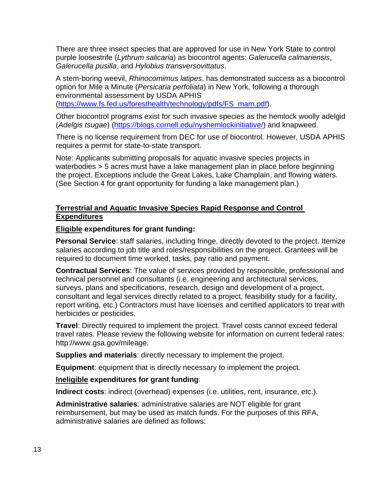There are three insect species that are approved for use in New York State to control purple loosestrife (*Lythrum salicaria*) as biocontrol agents: *Galerucella calmariensis*, *Galerucella pusilla*, and *Hylobius transversovittatus*.

A stem-boring weevil, *Rhinocomimus latipes*, has demonstrated success as a biocontrol option for Mile a Minute (*Persicaria perfoliata*) in New York, following a thorough environmental assessment by USDA APHIS (https://www.fs.fed.us/foresthealth/technology/pdfs/FS\_mam.pdf).

Other biocontrol programs exist for such invasive species as the hemlock woolly adelgid (*Adelgis tsugae*) (https://blogs.cornell.edu/nyshemlockinitiative/) and knapweed.

There is no license requirement from DEC for use of biocontrol. However, USDA APHIS requires a permit for state-to-state transport.

Note: Applicants submitting proposals for aquatic invasive species projects in waterbodies > 5 acres must have a lake management plan in place before beginning the project. Exceptions include the Great Lakes, Lake Champlain, and flowing waters. (See Section 4 for grant opportunity for funding a lake management plan.)

#### **Terrestrial and Aquatic Invasive Species Rapid Response and Control Expenditures**

#### **Eligible expenditures for grant funding:**

**Personal Service**: staff salaries, including fringe, directly devoted to the project. Itemize salaries according to job title and roles/responsibilities on the project. Grantees will be required to document time worked, tasks, pay ratio and payment.

**Contractual Services**: The value of services provided by responsible, professional and technical personnel and consultants (i.e. engineering and architectural services, surveys, plans and specifications, research, design and development of a project, consultant and legal services directly related to a project, feasibility study for a facility, report writing, etc.) Contractors must have licenses and certified applicators to treat with herbicides or pesticides.

**Travel**: Directly required to implement the project. Travel costs cannot exceed federal travel rates. Please review the following website for information on current federal rates: http://www.gsa.gov/mileage.

**Supplies and materials**: directly necessary to implement the project.

**Equipment**: equipment that is directly necessary to implement the project.

#### **Ineligible expenditures for grant funding**:

**Indirect costs**: indirect (overhead) expenses (i.e. utilities, rent, insurance, etc.).

**Administrative salaries**: administrative salaries are NOT eligible for grant reimbursement, but may be used as match funds. For the purposes of this RFA, administrative salaries are defined as follows: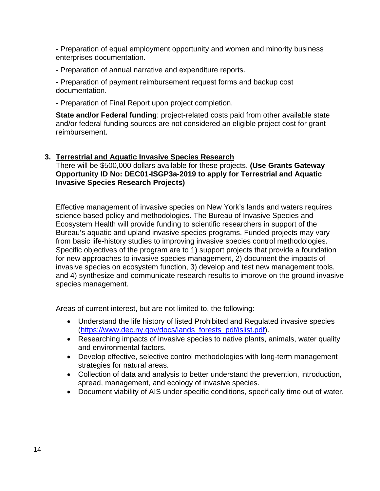- Preparation of equal employment opportunity and women and minority business enterprises documentation.

- Preparation of annual narrative and expenditure reports.

- Preparation of payment reimbursement request forms and backup cost documentation.

- Preparation of Final Report upon project completion.

**State and/or Federal funding**: project-related costs paid from other available state and/or federal funding sources are not considered an eligible project cost for grant reimbursement.

#### **3. Terrestrial and Aquatic Invasive Species Research**

There will be \$500,000 dollars available for these projects. **(Use Grants Gateway Opportunity ID No: DEC01-ISGP3a-2019 to apply for Terrestrial and Aquatic Invasive Species Research Projects)** 

Effective management of invasive species on New York's lands and waters requires science based policy and methodologies. The Bureau of Invasive Species and Ecosystem Health will provide funding to scientific researchers in support of the Bureau's aquatic and upland invasive species programs. Funded projects may vary from basic life-history studies to improving invasive species control methodologies. Specific objectives of the program are to 1) support projects that provide a foundation for new approaches to invasive species management, 2) document the impacts of invasive species on ecosystem function, 3) develop and test new management tools, and 4) synthesize and communicate research results to improve on the ground invasive species management.

Areas of current interest, but are not limited to, the following:

- Understand the life history of listed Prohibited and Regulated invasive species (https://www.dec.ny.gov/docs/lands\_forests\_pdf/islist.pdf).
- Researching impacts of invasive species to native plants, animals, water quality and environmental factors.
- Develop effective, selective control methodologies with long-term management strategies for natural areas.
- Collection of data and analysis to better understand the prevention, introduction, spread, management, and ecology of invasive species.
- Document viability of AIS under specific conditions, specifically time out of water.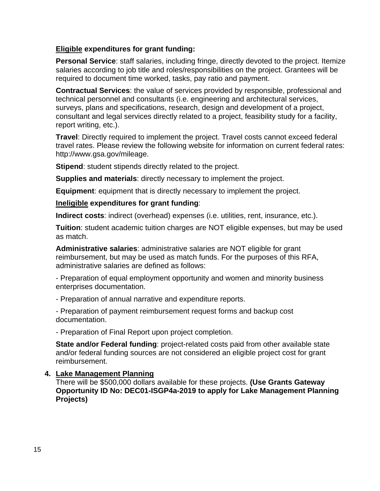#### **Eligible expenditures for grant funding:**

**Personal Service**: staff salaries, including fringe, directly devoted to the project. Itemize salaries according to job title and roles/responsibilities on the project. Grantees will be required to document time worked, tasks, pay ratio and payment.

**Contractual Services**: the value of services provided by responsible, professional and technical personnel and consultants (i.e. engineering and architectural services, surveys, plans and specifications, research, design and development of a project, consultant and legal services directly related to a project, feasibility study for a facility, report writing, etc.).

**Travel**: Directly required to implement the project. Travel costs cannot exceed federal travel rates. Please review the following website for information on current federal rates: http://www.gsa.gov/mileage.

**Stipend:** student stipends directly related to the project.

**Supplies and materials**: directly necessary to implement the project.

**Equipment**: equipment that is directly necessary to implement the project.

#### **Ineligible expenditures for grant funding**:

**Indirect costs**: indirect (overhead) expenses (i.e. utilities, rent, insurance, etc.).

**Tuition**: student academic tuition charges are NOT eligible expenses, but may be used as match.

**Administrative salaries**: administrative salaries are NOT eligible for grant reimbursement, but may be used as match funds. For the purposes of this RFA, administrative salaries are defined as follows:

- Preparation of equal employment opportunity and women and minority business enterprises documentation.

- Preparation of annual narrative and expenditure reports.

- Preparation of payment reimbursement request forms and backup cost documentation.

- Preparation of Final Report upon project completion.

**State and/or Federal funding**: project-related costs paid from other available state and/or federal funding sources are not considered an eligible project cost for grant reimbursement.

#### **4. Lake Management Planning**

There will be \$500,000 dollars available for these projects. **(Use Grants Gateway Opportunity ID No: DEC01-ISGP4a-2019 to apply for Lake Management Planning Projects)**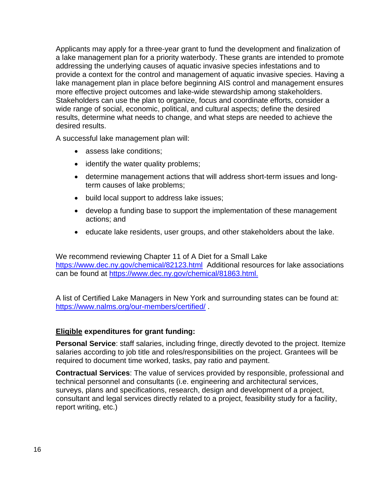Applicants may apply for a three-year grant to fund the development and finalization of a lake management plan for a priority waterbody. These grants are intended to promote addressing the underlying causes of aquatic invasive species infestations and to provide a context for the control and management of aquatic invasive species. Having a lake management plan in place before beginning AIS control and management ensures more effective project outcomes and lake-wide stewardship among stakeholders. Stakeholders can use the plan to organize, focus and coordinate efforts, consider a wide range of social, economic, political, and cultural aspects; define the desired results, determine what needs to change, and what steps are needed to achieve the desired results.

A successful lake management plan will:

- assess lake conditions;
- identify the water quality problems;
- determine management actions that will address short-term issues and longterm causes of lake problems;
- build local support to address lake issues;
- develop a funding base to support the implementation of these management actions; and
- educate lake residents, user groups, and other stakeholders about the lake.

We recommend reviewing Chapter 11 of A Diet for a Small Lake https://www.dec.ny.gov/chemical/82123.html Additional resources for lake associations can be found at https://www.dec.ny.gov/chemical/81863.html.

A list of Certified Lake Managers in New York and surrounding states can be found at: https://www.nalms.org/our-members/certified/ .

#### **Eligible expenditures for grant funding:**

**Personal Service**: staff salaries, including fringe, directly devoted to the project. Itemize salaries according to job title and roles/responsibilities on the project. Grantees will be required to document time worked, tasks, pay ratio and payment.

**Contractual Services**: The value of services provided by responsible, professional and technical personnel and consultants (i.e. engineering and architectural services, surveys, plans and specifications, research, design and development of a project, consultant and legal services directly related to a project, feasibility study for a facility, report writing, etc.)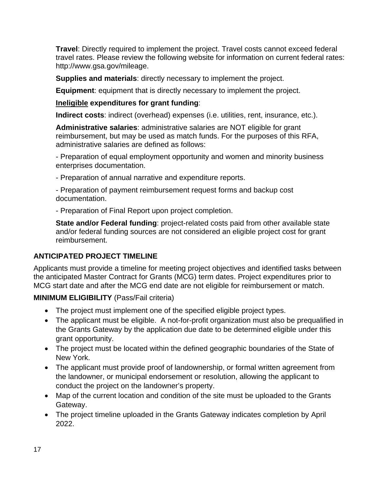**Travel**: Directly required to implement the project. Travel costs cannot exceed federal travel rates. Please review the following website for information on current federal rates: http://www.gsa.gov/mileage.

**Supplies and materials**: directly necessary to implement the project.

**Equipment**: equipment that is directly necessary to implement the project.

**Ineligible expenditures for grant funding**:

**Indirect costs**: indirect (overhead) expenses (i.e. utilities, rent, insurance, etc.).

**Administrative salaries**: administrative salaries are NOT eligible for grant reimbursement, but may be used as match funds. For the purposes of this RFA, administrative salaries are defined as follows:

- Preparation of equal employment opportunity and women and minority business enterprises documentation.

- Preparation of annual narrative and expenditure reports.

- Preparation of payment reimbursement request forms and backup cost documentation.

- Preparation of Final Report upon project completion.

**State and/or Federal funding**: project-related costs paid from other available state and/or federal funding sources are not considered an eligible project cost for grant reimbursement.

# **ANTICIPATED PROJECT TIMELINE**

Applicants must provide a timeline for meeting project objectives and identified tasks between the anticipated Master Contract for Grants (MCG) term dates. Project expenditures prior to MCG start date and after the MCG end date are not eligible for reimbursement or match.

**MINIMUM ELIGIBILITY** (Pass/Fail criteria)

- The project must implement one of the specified eligible project types.
- The applicant must be eligible. A not-for-profit organization must also be prequalified in the Grants Gateway by the application due date to be determined eligible under this grant opportunity.
- The project must be located within the defined geographic boundaries of the State of New York.
- The applicant must provide proof of landownership, or formal written agreement from the landowner, or municipal endorsement or resolution, allowing the applicant to conduct the project on the landowner's property.
- Map of the current location and condition of the site must be uploaded to the Grants Gateway.
- The project timeline uploaded in the Grants Gateway indicates completion by April 2022.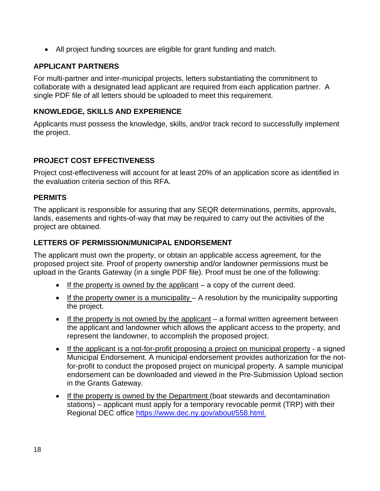All project funding sources are eligible for grant funding and match.

# **APPLICANT PARTNERS**

For multi-partner and inter-municipal projects, letters substantiating the commitment to collaborate with a designated lead applicant are required from each application partner. A single PDF file of all letters should be uploaded to meet this requirement.

# **KNOWLEDGE, SKILLS AND EXPERIENCE**

Applicants must possess the knowledge, skills, and/or track record to successfully implement the project.

# **PROJECT COST EFFECTIVENESS**

Project cost-effectiveness will account for at least 20% of an application score as identified in the evaluation criteria section of this RFA*.*

# **PERMITS**

The applicant is responsible for assuring that any SEQR determinations, permits, approvals, lands, easements and rights-of-way that may be required to carry out the activities of the project are obtained.

# **LETTERS OF PERMISSION/MUNICIPAL ENDORSEMENT**

The applicant must own the property, or obtain an applicable access agreement, for the proposed project site. Proof of property ownership and/or landowner permissions must be upload in the Grants Gateway (in a single PDF file). Proof must be one of the following:

- If the property is owned by the applicant  $-$  a copy of the current deed.
- If the property owner is a municipality  $-$  A resolution by the municipality supporting the project.
- If the property is not owned by the applicant  $-$  a formal written agreement between the applicant and landowner which allows the applicant access to the property, and represent the landowner, to accomplish the proposed project.
- If the applicant is a not-for-profit proposing a project on municipal property a signed Municipal Endorsement. A municipal endorsement provides authorization for the notfor-profit to conduct the proposed project on municipal property. A sample municipal endorsement can be downloaded and viewed in the Pre-Submission Upload section in the Grants Gateway.
- If the property is owned by the Department (boat stewards and decontamination stations) – applicant must apply for a temporary revocable permit (TRP) with their Regional DEC office https://www.dec.ny.gov/about/558.html.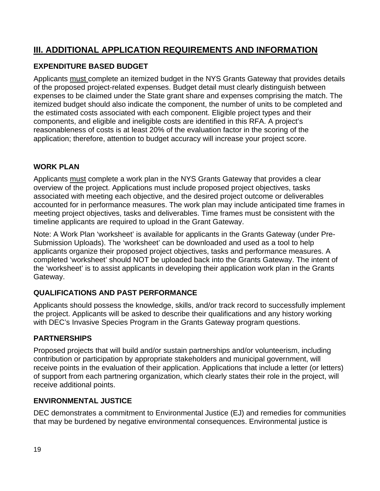# **III. ADDITIONAL APPLICATION REQUIREMENTS AND INFORMATION**

# **EXPENDITURE BASED BUDGET**

Applicants must complete an itemized budget in the NYS Grants Gateway that provides details of the proposed project-related expenses. Budget detail must clearly distinguish between expenses to be claimed under the State grant share and expenses comprising the match. The itemized budget should also indicate the component, the number of units to be completed and the estimated costs associated with each component. Eligible project types and their components, and eligible and ineligible costs are identified in this RFA. A project's reasonableness of costs is at least 20% of the evaluation factor in the scoring of the application; therefore, attention to budget accuracy will increase your project score.

# **WORK PLAN**

Applicants must complete a work plan in the NYS Grants Gateway that provides a clear overview of the project. Applications must include proposed project objectives, tasks associated with meeting each objective, and the desired project outcome or deliverables accounted for in performance measures. The work plan may include anticipated time frames in meeting project objectives, tasks and deliverables. Time frames must be consistent with the timeline applicants are required to upload in the Grant Gateway.

Note: A Work Plan 'worksheet' is available for applicants in the Grants Gateway (under Pre-Submission Uploads). The 'worksheet' can be downloaded and used as a tool to help applicants organize their proposed project objectives, tasks and performance measures. A completed 'worksheet' should NOT be uploaded back into the Grants Gateway. The intent of the 'worksheet' is to assist applicants in developing their application work plan in the Grants Gateway.

# **QUALIFICATIONS AND PAST PERFORMANCE**

Applicants should possess the knowledge, skills, and/or track record to successfully implement the project. Applicants will be asked to describe their qualifications and any history working with DEC's Invasive Species Program in the Grants Gateway program questions.

# **PARTNERSHIPS**

Proposed projects that will build and/or sustain partnerships and/or volunteerism, including contribution or participation by appropriate stakeholders and municipal government, will receive points in the evaluation of their application. Applications that include a letter (or letters) of support from each partnering organization, which clearly states their role in the project, will receive additional points.

# **ENVIRONMENTAL JUSTICE**

DEC demonstrates a commitment to Environmental Justice (EJ) and remedies for communities that may be burdened by negative environmental consequences. Environmental justice is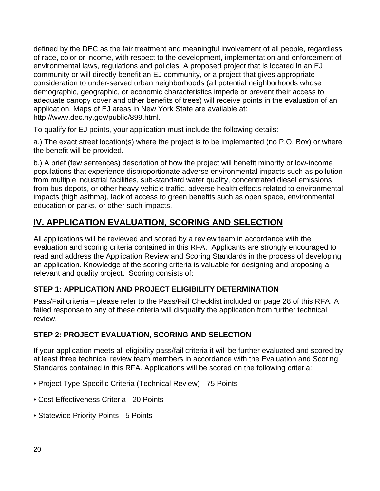defined by the DEC as the fair treatment and meaningful involvement of all people, regardless of race, color or income, with respect to the development, implementation and enforcement of environmental laws, regulations and policies. A proposed project that is located in an EJ community or will directly benefit an EJ community, or a project that gives appropriate consideration to under-served urban neighborhoods (all potential neighborhoods whose demographic, geographic, or economic characteristics impede or prevent their access to adequate canopy cover and other benefits of trees) will receive points in the evaluation of an application. Maps of EJ areas in New York State are available at: http://www.dec.ny.gov/public/899.html.

To qualify for EJ points, your application must include the following details:

a.) The exact street location(s) where the project is to be implemented (no P.O. Box) or where the benefit will be provided.

b.) A brief (few sentences) description of how the project will benefit minority or low-income populations that experience disproportionate adverse environmental impacts such as pollution from multiple industrial facilities, sub-standard water quality, concentrated diesel emissions from bus depots, or other heavy vehicle traffic, adverse health effects related to environmental impacts (high asthma), lack of access to green benefits such as open space, environmental education or parks, or other such impacts.

# **IV. APPLICATION EVALUATION, SCORING AND SELECTION**

All applications will be reviewed and scored by a review team in accordance with the evaluation and scoring criteria contained in this RFA. Applicants are strongly encouraged to read and address the Application Review and Scoring Standards in the process of developing an application. Knowledge of the scoring criteria is valuable for designing and proposing a relevant and quality project. Scoring consists of:

# **STEP 1: APPLICATION AND PROJECT ELIGIBILITY DETERMINATION**

Pass/Fail criteria – please refer to the Pass/Fail Checklist included on page 28 of this RFA. A failed response to any of these criteria will disqualify the application from further technical review.

# **STEP 2: PROJECT EVALUATION, SCORING AND SELECTION**

If your application meets all eligibility pass/fail criteria it will be further evaluated and scored by at least three technical review team members in accordance with the Evaluation and Scoring Standards contained in this RFA. Applications will be scored on the following criteria:

- Project Type-Specific Criteria (Technical Review) 75 Points
- Cost Effectiveness Criteria 20 Points
- Statewide Priority Points 5 Points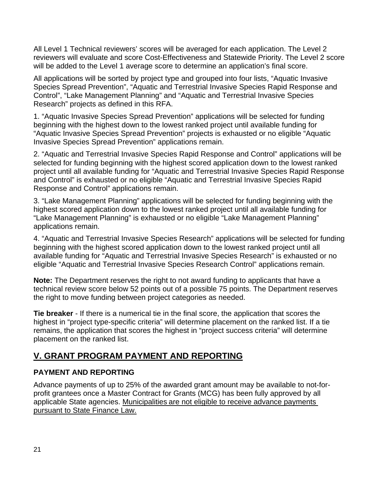All Level 1 Technical reviewers' scores will be averaged for each application. The Level 2 reviewers will evaluate and score Cost-Effectiveness and Statewide Priority. The Level 2 score will be added to the Level 1 average score to determine an application's final score.

All applications will be sorted by project type and grouped into four lists, "Aquatic Invasive Species Spread Prevention", "Aquatic and Terrestrial Invasive Species Rapid Response and Control", "Lake Management Planning" and "Aquatic and Terrestrial Invasive Species Research" projects as defined in this RFA.

1. "Aquatic Invasive Species Spread Prevention" applications will be selected for funding beginning with the highest down to the lowest ranked project until available funding for "Aquatic Invasive Species Spread Prevention" projects is exhausted or no eligible "Aquatic Invasive Species Spread Prevention" applications remain.

2. "Aquatic and Terrestrial Invasive Species Rapid Response and Control" applications will be selected for funding beginning with the highest scored application down to the lowest ranked project until all available funding for "Aquatic and Terrestrial Invasive Species Rapid Response and Control" is exhausted or no eligible "Aquatic and Terrestrial Invasive Species Rapid Response and Control" applications remain.

3. "Lake Management Planning" applications will be selected for funding beginning with the highest scored application down to the lowest ranked project until all available funding for "Lake Management Planning" is exhausted or no eligible "Lake Management Planning" applications remain.

4. "Aquatic and Terrestrial Invasive Species Research" applications will be selected for funding beginning with the highest scored application down to the lowest ranked project until all available funding for "Aquatic and Terrestrial Invasive Species Research" is exhausted or no eligible "Aquatic and Terrestrial Invasive Species Research Control" applications remain.

**Note:** The Department reserves the right to not award funding to applicants that have a technical review score below 52 points out of a possible 75 points. The Department reserves the right to move funding between project categories as needed.

**Tie breaker** - If there is a numerical tie in the final score, the application that scores the highest in "project type-specific criteria" will determine placement on the ranked list. If a tie remains, the application that scores the highest in "project success criteria" will determine placement on the ranked list.

# **V. GRANT PROGRAM PAYMENT AND REPORTING**

# **PAYMENT AND REPORTING**

Advance payments of up to 25% of the awarded grant amount may be available to not-forprofit grantees once a Master Contract for Grants (MCG) has been fully approved by all applicable State agencies. Municipalities are not eligible to receive advance payments pursuant to State Finance Law.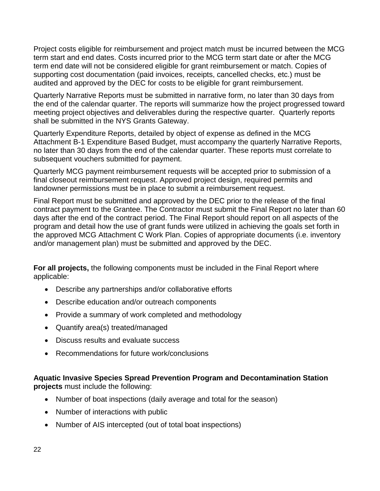Project costs eligible for reimbursement and project match must be incurred between the MCG term start and end dates. Costs incurred prior to the MCG term start date or after the MCG term end date will not be considered eligible for grant reimbursement or match. Copies of supporting cost documentation (paid invoices, receipts, cancelled checks, etc.) must be audited and approved by the DEC for costs to be eligible for grant reimbursement.

Quarterly Narrative Reports must be submitted in narrative form, no later than 30 days from the end of the calendar quarter. The reports will summarize how the project progressed toward meeting project objectives and deliverables during the respective quarter. Quarterly reports shall be submitted in the NYS Grants Gateway.

Quarterly Expenditure Reports, detailed by object of expense as defined in the MCG Attachment B-1 Expenditure Based Budget, must accompany the quarterly Narrative Reports, no later than 30 days from the end of the calendar quarter. These reports must correlate to subsequent vouchers submitted for payment.

Quarterly MCG payment reimbursement requests will be accepted prior to submission of a final closeout reimbursement request. Approved project design, required permits and landowner permissions must be in place to submit a reimbursement request.

Final Report must be submitted and approved by the DEC prior to the release of the final contract payment to the Grantee. The Contractor must submit the Final Report no later than 60 days after the end of the contract period. The Final Report should report on all aspects of the program and detail how the use of grant funds were utilized in achieving the goals set forth in the approved MCG Attachment C Work Plan. Copies of appropriate documents (i.e. inventory and/or management plan) must be submitted and approved by the DEC.

**For all projects,** the following components must be included in the Final Report where applicable:

- Describe any partnerships and/or collaborative efforts
- Describe education and/or outreach components
- Provide a summary of work completed and methodology
- Quantify area(s) treated/managed
- Discuss results and evaluate success
- Recommendations for future work/conclusions

#### **Aquatic Invasive Species Spread Prevention Program and Decontamination Station projects** must include the following:

- Number of boat inspections (daily average and total for the season)
- Number of interactions with public
- Number of AIS intercepted (out of total boat inspections)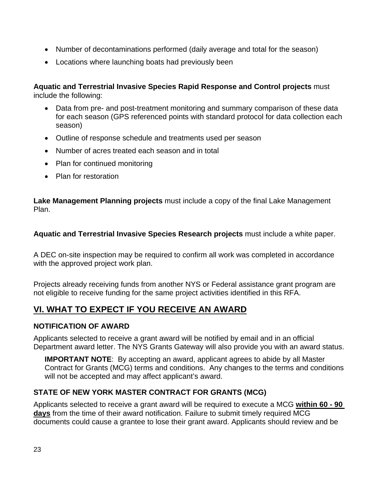- Number of decontaminations performed (daily average and total for the season)
- Locations where launching boats had previously been

**Aquatic and Terrestrial Invasive Species Rapid Response and Control projects** must include the following:

- Data from pre- and post-treatment monitoring and summary comparison of these data for each season (GPS referenced points with standard protocol for data collection each season)
- Outline of response schedule and treatments used per season
- Number of acres treated each season and in total
- Plan for continued monitoring
- Plan for restoration

**Lake Management Planning projects** must include a copy of the final Lake Management Plan.

**Aquatic and Terrestrial Invasive Species Research projects** must include a white paper.

A DEC on-site inspection may be required to confirm all work was completed in accordance with the approved project work plan.

Projects already receiving funds from another NYS or Federal assistance grant program are not eligible to receive funding for the same project activities identified in this RFA.

# **VI. WHAT TO EXPECT IF YOU RECEIVE AN AWARD**

#### **NOTIFICATION OF AWARD**

Applicants selected to receive a grant award will be notified by email and in an official Department award letter. The NYS Grants Gateway will also provide you with an award status.

**IMPORTANT NOTE:** By accepting an award, applicant agrees to abide by all Master Contract for Grants (MCG) terms and conditions. Any changes to the terms and conditions will not be accepted and may affect applicant's award.

# **STATE OF NEW YORK MASTER CONTRACT FOR GRANTS (MCG)**

Applicants selected to receive a grant award will be required to execute a MCG **within 60 - 90 days** from the time of their award notification. Failure to submit timely required MCG documents could cause a grantee to lose their grant award. Applicants should review and be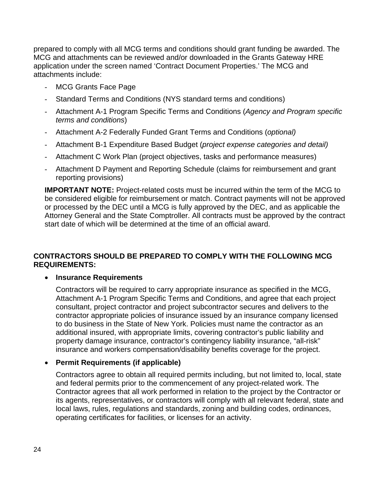prepared to comply with all MCG terms and conditions should grant funding be awarded. The MCG and attachments can be reviewed and/or downloaded in the Grants Gateway HRE application under the screen named 'Contract Document Properties.' The MCG and attachments include:

- MCG Grants Face Page
- Standard Terms and Conditions (NYS standard terms and conditions)
- Attachment A-1 Program Specific Terms and Conditions (*Agency and Program specific terms and conditions*)
- Attachment A-2 Federally Funded Grant Terms and Conditions (*optional)*
- Attachment B-1 Expenditure Based Budget (*project expense categories and detail)*
- Attachment C Work Plan (project objectives, tasks and performance measures)
- Attachment D Payment and Reporting Schedule (claims for reimbursement and grant reporting provisions)

**IMPORTANT NOTE:** Project-related costs must be incurred within the term of the MCG to be considered eligible for reimbursement or match. Contract payments will not be approved or processed by the DEC until a MCG is fully approved by the DEC, and as applicable the Attorney General and the State Comptroller. All contracts must be approved by the contract start date of which will be determined at the time of an official award.

#### **CONTRACTORS SHOULD BE PREPARED TO COMPLY WITH THE FOLLOWING MCG REQUIREMENTS:**

#### **Insurance Requirements**

Contractors will be required to carry appropriate insurance as specified in the MCG, Attachment A-1 Program Specific Terms and Conditions, and agree that each project consultant, project contractor and project subcontractor secures and delivers to the contractor appropriate policies of insurance issued by an insurance company licensed to do business in the State of New York. Policies must name the contractor as an additional insured, with appropriate limits, covering contractor's public liability and property damage insurance, contractor's contingency liability insurance, "all-risk" insurance and workers compensation/disability benefits coverage for the project.

#### **Permit Requirements (if applicable)**

Contractors agree to obtain all required permits including, but not limited to, local, state and federal permits prior to the commencement of any project-related work. The Contractor agrees that all work performed in relation to the project by the Contractor or its agents, representatives, or contractors will comply with all relevant federal, state and local laws, rules, regulations and standards, zoning and building codes, ordinances, operating certificates for facilities, or licenses for an activity.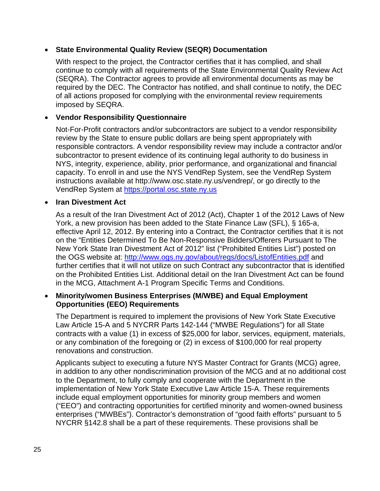#### **State Environmental Quality Review (SEQR) Documentation**

With respect to the project, the Contractor certifies that it has complied, and shall continue to comply with all requirements of the State Environmental Quality Review Act (SEQRA). The Contractor agrees to provide all environmental documents as may be required by the DEC. The Contractor has notified, and shall continue to notify, the DEC of all actions proposed for complying with the environmental review requirements imposed by SEQRA.

#### **Vendor Responsibility Questionnaire**

Not-For-Profit contractors and/or subcontractors are subject to a vendor responsibility review by the State to ensure public dollars are being spent appropriately with responsible contractors. A vendor responsibility review may include a contractor and/or subcontractor to present evidence of its continuing legal authority to do business in NYS, integrity, experience, ability, prior performance, and organizational and financial capacity. To enroll in and use the NYS VendRep System, see the VendRep System instructions available at http://www.osc.state.ny.us/vendrep/, or go directly to the VendRep System at https://portal.osc.state.ny.us

#### **Iran Divestment Act**

As a result of the Iran Divestment Act of 2012 (Act), Chapter 1 of the 2012 Laws of New York, a new provision has been added to the State Finance Law (SFL), § 165-a, effective April 12, 2012. By entering into a Contract, the Contractor certifies that it is not on the "Entities Determined To Be Non-Responsive Bidders/Offerers Pursuant to The New York State Iran Divestment Act of 2012" list ("Prohibited Entities List") posted on the OGS website at: http://www.ogs.ny.gov/about/regs/docs/ListofEntities.pdf and further certifies that it will not utilize on such Contract any subcontractor that is identified on the Prohibited Entities List. Additional detail on the Iran Divestment Act can be found in the MCG, Attachment A-1 Program Specific Terms and Conditions.

#### **Minority/women Business Enterprises (M/WBE) and Equal Employment Opportunities (EEO) Requirements**

The Department is required to implement the provisions of New York State Executive Law Article 15-A and 5 NYCRR Parts 142-144 ("MWBE Regulations") for all State contracts with a value (1) in excess of \$25,000 for labor, services, equipment, materials, or any combination of the foregoing or (2) in excess of \$100,000 for real property renovations and construction.

Applicants subject to executing a future NYS Master Contract for Grants (MCG) agree, in addition to any other nondiscrimination provision of the MCG and at no additional cost to the Department, to fully comply and cooperate with the Department in the implementation of New York State Executive Law Article 15-A. These requirements include equal employment opportunities for minority group members and women ("EEO") and contracting opportunities for certified minority and women-owned business enterprises ("MWBEs"). Contractor's demonstration of "good faith efforts" pursuant to 5 NYCRR §142.8 shall be a part of these requirements. These provisions shall be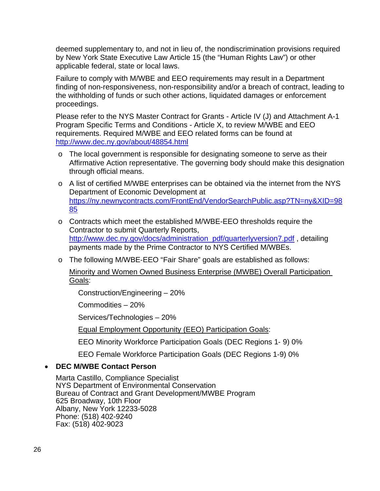deemed supplementary to, and not in lieu of, the nondiscrimination provisions required by New York State Executive Law Article 15 (the "Human Rights Law") or other applicable federal, state or local laws.

Failure to comply with M/WBE and EEO requirements may result in a Department finding of non-responsiveness, non-responsibility and/or a breach of contract, leading to the withholding of funds or such other actions, liquidated damages or enforcement proceedings.

Please refer to the NYS Master Contract for Grants - Article IV (J) and Attachment A-1 Program Specific Terms and Conditions - Article X, to review M/WBE and EEO requirements. Required M/WBE and EEO related forms can be found at http://www.dec.ny.gov/about/48854.html

- o The local government is responsible for designating someone to serve as their Affirmative Action representative. The governing body should make this designation through official means.
- o A list of certified M/WBE enterprises can be obtained via the internet from the NYS Department of Economic Development at https://ny.newnycontracts.com/FrontEnd/VendorSearchPublic.asp?TN=ny&XID=98 85
- o Contracts which meet the established M/WBE-EEO thresholds require the Contractor to submit Quarterly Reports, http://www.dec.ny.gov/docs/administration\_pdf/quarterlyversion7.pdf, detailing payments made by the Prime Contractor to NYS Certified M/WBEs.
- o The following M/WBE‐EEO "Fair Share" goals are established as follows:

Minority and Women Owned Business Enterprise (MWBE) Overall Participation Goals:

Construction/Engineering – 20%

Commodities – 20%

Services/Technologies – 20%

Equal Employment Opportunity (EEO) Participation Goals:

EEO Minority Workforce Participation Goals (DEC Regions 1‐ 9) 0%

EEO Female Workforce Participation Goals (DEC Regions 1‐9) 0%

#### **DEC M/WBE Contact Person**

Marta Castillo, Compliance Specialist NYS Department of Environmental Conservation Bureau of Contract and Grant Development/MWBE Program 625 Broadway, 10th Floor Albany, New York 12233-5028 Phone: (518) 402-9240 Fax: (518) 402-9023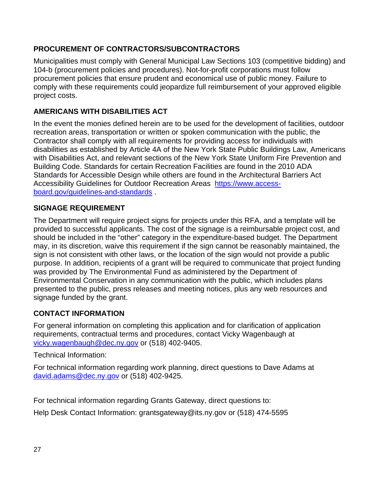# **PROCUREMENT OF CONTRACTORS/SUBCONTRACTORS**

Municipalities must comply with General Municipal Law Sections 103 (competitive bidding) and 104-b (procurement policies and procedures). Not-for-profit corporations must follow procurement policies that ensure prudent and economical use of public money. Failure to comply with these requirements could jeopardize full reimbursement of your approved eligible project costs.

# **AMERICANS WITH DISABILITIES ACT**

In the event the monies defined herein are to be used for the development of facilities, outdoor recreation areas, transportation or written or spoken communication with the public, the Contractor shall comply with all requirements for providing access for individuals with disabilities as established by Article 4A of the New York State Public Buildings Law, Americans with Disabilities Act, and relevant sections of the New York State Uniform Fire Prevention and Building Code. Standards for certain Recreation Facilities are found in the 2010 ADA Standards for Accessible Design while others are found in the Architectural Barriers Act Accessibility Guidelines for Outdoor Recreation Areas https://www.accessboard.gov/guidelines-and-standards .

# **SIGNAGE REQUIREMENT**

The Department will require project signs for projects under this RFA, and a template will be provided to successful applicants. The cost of the signage is a reimbursable project cost, and should be included in the "other" category in the expenditure-based budget. The Department may, in its discretion, waive this requirement if the sign cannot be reasonably maintained, the sign is not consistent with other laws, or the location of the sign would not provide a public purpose. In addition, recipients of a grant will be required to communicate that project funding was provided by The Environmental Fund as administered by the Department of Environmental Conservation in any communication with the public, which includes plans presented to the public, press releases and meeting notices, plus any web resources and signage funded by the grant.

# **CONTACT INFORMATION**

For general information on completing this application and for clarification of application requirements, contractual terms and procedures, contact Vicky Wagenbaugh at vicky.wagenbaugh@dec.ny.gov or (518) 402-9405.

Technical Information:

For technical information regarding work planning, direct questions to Dave Adams at david.adams@dec.ny.gov or (518) 402-9425.

For technical information regarding Grants Gateway, direct questions to:

Help Desk Contact Information: grantsgateway@its.ny.gov or (518) 474-5595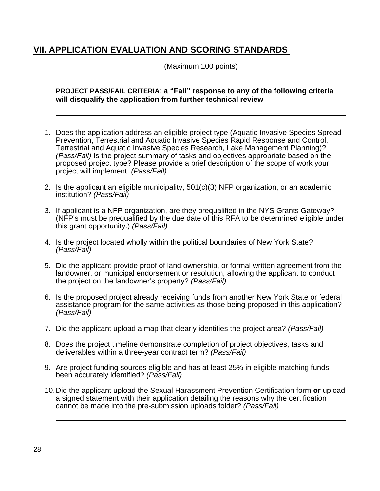# **VII. APPLICATION EVALUATION AND SCORING STANDARDS**

(Maximum 100 points)

#### **PROJECT PASS/FAIL CRITERIA**: **a "Fail" response to any of the following criteria will disqualify the application from further technical review**

- 1. Does the application address an eligible project type (Aquatic Invasive Species Spread Prevention, Terrestrial and Aquatic Invasive Species Rapid Response and Control, Terrestrial and Aquatic Invasive Species Research, Lake Management Planning)? *(Pass/Fail)* Is the project summary of tasks and objectives appropriate based on the proposed project type? Please provide a brief description of the scope of work your project will implement. *(Pass/Fail)*
- 2. Is the applicant an eligible municipality, 501(c)(3) NFP organization, or an academic institution? *(Pass/Fail)*
- 3. If applicant is a NFP organization, are they prequalified in the NYS Grants Gateway? (NFP's must be prequalified by the due date of this RFA to be determined eligible under this grant opportunity.) *(Pass/Fail)*
- 4. Is the project located wholly within the political boundaries of New York State? *(Pass/Fail)*
- 5. Did the applicant provide proof of land ownership, or formal written agreement from the landowner, or municipal endorsement or resolution, allowing the applicant to conduct the project on the landowner's property? *(Pass/Fail)*
- 6. Is the proposed project already receiving funds from another New York State or federal assistance program for the same activities as those being proposed in this application? *(Pass/Fail)*
- 7. Did the applicant upload a map that clearly identifies the project area? *(Pass/Fail)*
- 8. Does the project timeline demonstrate completion of project objectives, tasks and deliverables within a three-year contract term? *(Pass/Fail)*
- 9. Are project funding sources eligible and has at least 25% in eligible matching funds been accurately identified? *(Pass/Fail)*
- 10. Did the applicant upload the Sexual Harassment Prevention Certification form **or** upload a signed statement with their application detailing the reasons why the certification cannot be made into the pre-submission uploads folder? *(Pass/Fail)*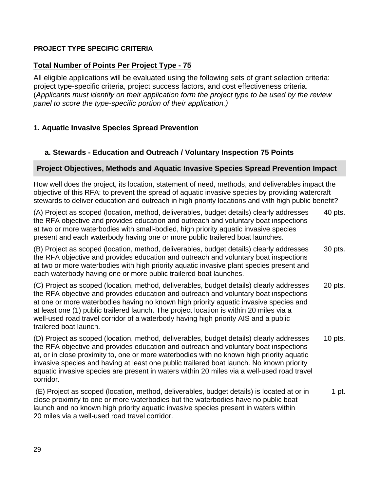#### **PROJECT TYPE SPECIFIC CRITERIA**

#### **Total Number of Points Per Project Type - 75**

All eligible applications will be evaluated using the following sets of grant selection criteria: project type-specific criteria, project success factors, and cost effectiveness criteria. (*Applicants must identify on their application form the project type to be used by the review panel to score the type-specific portion of their application.)*

#### **1. Aquatic Invasive Species Spread Prevention**

#### **a. Stewards - Education and Outreach / Voluntary Inspection 75 Points**

#### **Project Objectives, Methods and Aquatic Invasive Species Spread Prevention Impact**

How well does the project, its location, statement of need, methods, and deliverables impact the objective of this RFA: to prevent the spread of aquatic invasive species by providing watercraft stewards to deliver education and outreach in high priority locations and with high public benefit?

(A) Project as scoped (location, method, deliverables, budget details) clearly addresses 40 pts. the RFA objective and provides education and outreach and voluntary boat inspections at two or more waterbodies with small-bodied, high priority aquatic invasive species present and each waterbody having one or more public trailered boat launches.

(B) Project as scoped (location, method, deliverables, budget details) clearly addresses 30 pts. the RFA objective and provides education and outreach and voluntary boat inspections at two or more waterbodies with high priority aquatic invasive plant species present and each waterbody having one or more public trailered boat launches.

(C) Project as scoped (location, method, deliverables, budget details) clearly addresses 20 pts. the RFA objective and provides education and outreach and voluntary boat inspections at one or more waterbodies having no known high priority aquatic invasive species and at least one (1) public trailered launch. The project location is within 20 miles via a well-used road travel corridor of a waterbody having high priority AIS and a public trailered boat launch.

(D) Project as scoped (location, method, deliverables, budget details) clearly addresses 10 pts. the RFA objective and provides education and outreach and voluntary boat inspections at, or in close proximity to, one or more waterbodies with no known high priority aquatic invasive species and having at least one public trailered boat launch. No known priority aquatic invasive species are present in waters within 20 miles via a well-used road travel corridor.

 (E) Project as scoped (location, method, deliverables, budget details) is located at or in 1 pt. close proximity to one or more waterbodies but the waterbodies have no public boat launch and no known high priority aquatic invasive species present in waters within 20 miles via a well-used road travel corridor.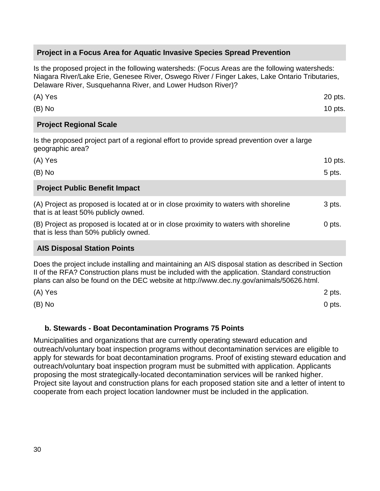#### **Project in a Focus Area for Aquatic Invasive Species Spread Prevention**

Is the proposed project in the following watersheds: (Focus Areas are the following watersheds: Niagara River/Lake Erie, Genesee River, Oswego River / Finger Lakes, Lake Ontario Tributaries, Delaware River, Susquehanna River, and Lower Hudson River)?

| (A) Yes   | 20 pts. |
|-----------|---------|
| $(B)$ No  | 10 pts. |
| _________ |         |

#### **Project Regional Scale**

Is the proposed project part of a regional effort to provide spread prevention over a large geographic area?

| (A) Yes                                                                                                                       | $10$ pts. |
|-------------------------------------------------------------------------------------------------------------------------------|-----------|
| $(B)$ No                                                                                                                      | 5 pts.    |
| <b>Project Public Benefit Impact</b>                                                                                          |           |
| (A) Project as proposed is located at or in close proximity to waters with shoreline<br>that is at least 50% publicly owned.  | 3 pts.    |
| (B) Project as proposed is located at or in close proximity to waters with shoreline<br>that is less than 50% publicly owned. | 0 pts.    |
| <b>AIS Disposal Station Points</b>                                                                                            |           |
| Deen the nucleat include installing and mointaining an AIO disposable tation on dependend in Opetion                          |           |

Does the project include installing and maintaining an AIS disposal station as described in Section II of the RFA? Construction plans must be included with the application. Standard construction plans can also be found on the DEC website at http://www.dec.ny.gov/animals/50626.html.

| (A) Yes  | 2 pts.   |
|----------|----------|
| $(B)$ No | $0$ pts. |

#### **b. Stewards - Boat Decontamination Programs 75 Points**

Municipalities and organizations that are currently operating steward education and outreach/voluntary boat inspection programs without decontamination services are eligible to apply for stewards for boat decontamination programs. Proof of existing steward education and outreach/voluntary boat inspection program must be submitted with application. Applicants proposing the most strategically-located decontamination services will be ranked higher. Project site layout and construction plans for each proposed station site and a letter of intent to cooperate from each project location landowner must be included in the application.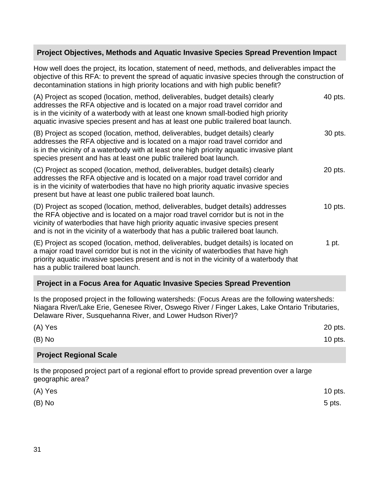#### **Project Objectives, Methods and Aquatic Invasive Species Spread Prevention Impact**

How well does the project, its location, statement of need, methods, and deliverables impact the objective of this RFA: to prevent the spread of aquatic invasive species through the construction of decontamination stations in high priority locations and with high public benefit?

| (A) Project as scoped (location, method, deliverables, budget details) clearly<br>addresses the RFA objective and is located on a major road travel corridor and<br>is in the vicinity of a waterbody with at least one known small-bodied high priority<br>aquatic invasive species present and has at least one public trailered boat launch.  | 40 pts. |
|--------------------------------------------------------------------------------------------------------------------------------------------------------------------------------------------------------------------------------------------------------------------------------------------------------------------------------------------------|---------|
| (B) Project as scoped (location, method, deliverables, budget details) clearly<br>addresses the RFA objective and is located on a major road travel corridor and<br>is in the vicinity of a waterbody with at least one high priority aquatic invasive plant<br>species present and has at least one public trailered boat launch.               | 30 pts. |
| (C) Project as scoped (location, method, deliverables, budget details) clearly<br>addresses the RFA objective and is located on a major road travel corridor and<br>is in the vicinity of waterbodies that have no high priority aquatic invasive species<br>present but have at least one public trailered boat launch.                         | 20 pts. |
| (D) Project as scoped (location, method, deliverables, budget details) addresses<br>the RFA objective and is located on a major road travel corridor but is not in the<br>vicinity of waterbodies that have high priority aquatic invasive species present<br>and is not in the vicinity of a waterbody that has a public trailered boat launch. | 10 pts. |
| (E) Project as scoped (location, method, deliverables, budget details) is located on<br>a major road travel corridor but is not in the vicinity of waterbodies that have high<br>priority aquatic invasive species present and is not in the vicinity of a waterbody that<br>has a public trailered boat launch.                                 | 1 pt.   |

#### **Project in a Focus Area for Aquatic Invasive Species Spread Prevention**

Is the proposed project in the following watersheds: (Focus Areas are the following watersheds: Niagara River/Lake Erie, Genesee River, Oswego River / Finger Lakes, Lake Ontario Tributaries, Delaware River, Susquehanna River, and Lower Hudson River)?

| (A) Yes                       | 20 pts.   |
|-------------------------------|-----------|
| $(B)$ No                      | $10$ pts. |
| <b>Project Regional Scale</b> |           |

Is the proposed project part of a regional effort to provide spread prevention over a large geographic area?

| (A) Yes  | 10 pts. |
|----------|---------|
| $(B)$ No | 5 pts.  |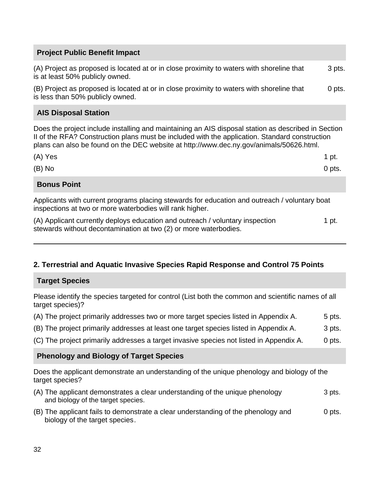# **Project Public Benefit Impact**  (A) Project as proposed is located at or in close proximity to waters with shoreline that 3 pts. is at least 50% publicly owned. (B) Project as proposed is located at or in close proximity to waters with shoreline that 0 pts. is less than 50% publicly owned. **AIS Disposal Station**  Does the project include installing and maintaining an AIS disposal station as described in Section II of the RFA? Construction plans must be included with the application. Standard construction plans can also be found on the DEC website at http://www.dec.ny.gov/animals/50626.html.  $(A)$  Yes 1 pt.  $(B)$  No 0 pts. **Bonus Point**  Applicants with current programs placing stewards for education and outreach / voluntary boat inspections at two or more waterbodies will rank higher.

(A) Applicant currently deploys education and outreach / voluntary inspection 1 pt. stewards without decontamination at two (2) or more waterbodies.

# **2. Terrestrial and Aquatic Invasive Species Rapid Response and Control 75 Points**

#### **Target Species**

Please identify the species targeted for control (List both the common and scientific names of all target species)?

- (A) The project primarily addresses two or more target species listed in Appendix A.  $\qquad 5$  pts.
- (B) The project primarily addresses at least one target species listed in Appendix A.  $\qquad \qquad$  3 pts.
- (C) The project primarily addresses a target invasive species not listed in Appendix A. 0 pts.

#### **Phenology and Biology of Target Species**

Does the applicant demonstrate an understanding of the unique phenology and biology of the target species?

- $(A)$  The applicant demonstrates a clear understanding of the unique phenology  $3$  pts. and biology of the target species.
- (B) The applicant fails to demonstrate a clear understanding of the phenology and 0 pts. biology of the target species .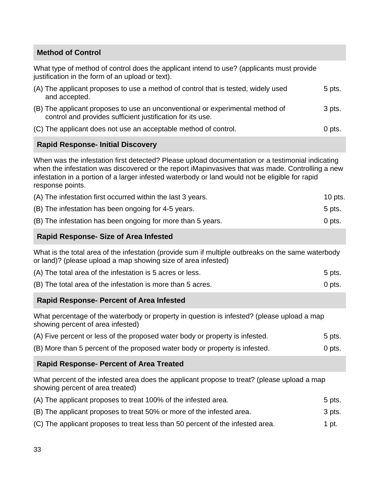#### **Method of Control**

What type of method of control does the applicant intend to use? (applicants must provide justification in the form of an upload or text).

| (A) The applicant proposes to use a method of control that is tested, widely used<br>and accepted.                                          | 5 pts. |
|---------------------------------------------------------------------------------------------------------------------------------------------|--------|
| (B) The applicant proposes to use an unconventional or experimental method of<br>control and provides sufficient justification for its use. | 3 pts. |
| (C) The applicant does not use an acceptable method of control.                                                                             | 0 pts. |

#### **Rapid Response- Initial Discovery**

When was the infestation first detected? Please upload documentation or a testimonial indicating when the infestation was discovered or the report iMapinvasives that was made. Controlling a new infestation in a portion of a larger infested waterbody or land would not be eligible for rapid response points.

| (A) The infestation first occurred within the last 3 years. | 10 pts. |
|-------------------------------------------------------------|---------|
| (B) The infestation has been ongoing for 4-5 years.         | 5 pts.  |
| (B) The infestation has been ongoing for more than 5 years. | 0 pts.  |

#### **Rapid Response- Size of Area Infested**

What is the total area of the infestation (provide sum if multiple outbreaks on the same waterbody or land)? (please upload a map showing size of area infested)

| (A) The total area of the infestation is 5 acres or less.   | 5 pts. |
|-------------------------------------------------------------|--------|
| (B) The total area of the infestation is more than 5 acres. | 0 pts. |

#### **Rapid Response- Percent of Area Infested**

What percentage of the waterbody or property in question is infested? (please upload a map showing percent of area infested)

| (A) Five percent or less of the proposed water body or property is infested. | 5 pts. |
|------------------------------------------------------------------------------|--------|
| (B) More than 5 percent of the proposed water body or property is infested.  | 0 pts. |

**Rapid Response- Percent of Area Treated** 

What percent of the infested area does the applicant propose to treat? (please upload a map showing percent of area treated)

| (A) The applicant proposes to treat 100% of the infested area. |  | 5 pts. |  |  |
|----------------------------------------------------------------|--|--------|--|--|
|                                                                |  |        |  |  |

| (B) The applicant proposes to treat 50% or more of the infested area. | 3 pts. |
|-----------------------------------------------------------------------|--------|
|-----------------------------------------------------------------------|--------|

(C) The applicant proposes to treat less than 50 percent of the infested area. 1 pt.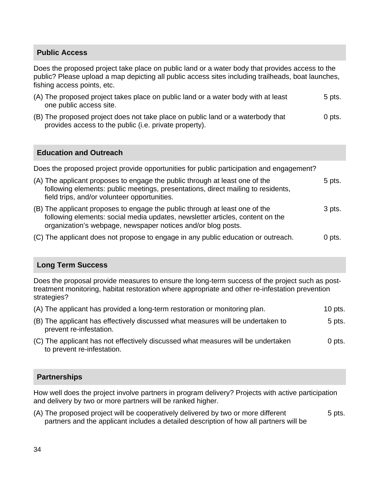#### **Public Access**

Does the proposed project take place on public land or a water body that provides access to the public? Please upload a map depicting all public access sites including trailheads, boat launches, fishing access points, etc.

| (A) The proposed project takes place on public land or a water body with at least | 5 pts. |
|-----------------------------------------------------------------------------------|--------|
| one public access site.                                                           |        |

(B) The proposed project does not take place on public land or a waterbody that  $\qquad 0$  pts. provides access to the public (i.e. private property).

#### **Education and Outreach**

Does the proposed project provide opportunities for public participation and engagement?

| (A) The applicant proposes to engage the public through at least one of the<br>following elements: public meetings, presentations, direct mailing to residents,<br>field trips, and/or volunteer opportunities.              | 5 pts.   |
|------------------------------------------------------------------------------------------------------------------------------------------------------------------------------------------------------------------------------|----------|
| (B) The applicant proposes to engage the public through at least one of the<br>following elements: social media updates, newsletter articles, content on the<br>organization's webpage, newspaper notices and/or blog posts. | 3 pts.   |
| (C) The applicant does not propose to engage in any public education or outreach.                                                                                                                                            | $0$ pts. |

#### **Long Term Success**

Does the proposal provide measures to ensure the long-term success of the project such as posttreatment monitoring, habitat restoration where appropriate and other re-infestation prevention strategies?

| (A) The applicant has provided a long-term restoration or monitoring plan. | 10 pts. |
|----------------------------------------------------------------------------|---------|
|----------------------------------------------------------------------------|---------|

- (B) The applicant has effectively discussed what measures will be undertaken to  $5$  pts. prevent re-infestation.
- (C) The applicant has not effectively discussed what measures will be undertaken 0 pts. to prevent re-infestation.

#### **Partnerships**

How well does the project involve partners in program delivery? Projects with active participation and delivery by two or more partners will be ranked higher.

(A) The proposed project will be cooperatively delivered by two or more different  $\sim$  5 pts. partners and the applicant includes a detailed description of how all partners will be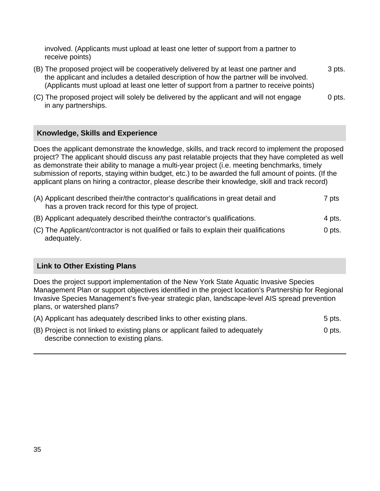involved. (Applicants must upload at least one letter of support from a partner to receive points)

- (B) The proposed project will be cooperatively delivered by at least one partner and 3 pts. the applicant and includes a detailed description of how the partner will be involved. (Applicants must upload at least one letter of support from a partner to receive points)
- (C) The proposed project will solely be delivered by the applicant and will not engage 0 pts. in any partnerships.

#### **Knowledge, Skills and Experience**

Does the applicant demonstrate the knowledge, skills, and track record to implement the proposed project? The applicant should discuss any past relatable projects that they have completed as well as demonstrate their ability to manage a multi-year project (i.e. meeting benchmarks, timely submission of reports, staying within budget, etc.) to be awarded the full amount of points. (If the applicant plans on hiring a contractor, please describe their knowledge, skill and track record)

| (A) Applicant described their/the contractor's qualifications in great detail and<br>has a proven track record for this type of project. | 7 pts  |
|------------------------------------------------------------------------------------------------------------------------------------------|--------|
| (B) Applicant adequately described their/the contractor's qualifications.                                                                | 4 pts. |

(C) The Applicant/contractor is not qualified or fails to explain their qualifications 0 pts. adequately.

#### **Link to Other Existing Plans**

Does the project support implementation of the New York State Aquatic Invasive Species Management Plan or support objectives identified in the project location's Partnership for Regional Invasive Species Management's five-year strategic plan, landscape-level AIS spread prevention plans, or watershed plans?

| (A) Applicant has adequately described links to other existing plans.                                                   | 5 pts. |
|-------------------------------------------------------------------------------------------------------------------------|--------|
| (B) Project is not linked to existing plans or applicant failed to adequately<br>describe connection to existing plans. | 0 pts. |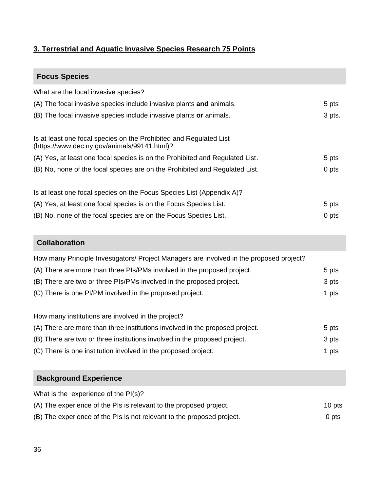# **3. Terrestrial and Aquatic Invasive Species Research 75 Points**

# **Focus Species**

| What are the focal invasive species?                                                                               |        |
|--------------------------------------------------------------------------------------------------------------------|--------|
| (A) The focal invasive species include invasive plants and animals.                                                | 5 pts  |
| (B) The focal invasive species include invasive plants or animals.                                                 | 3 pts. |
| Is at least one focal species on the Prohibited and Regulated List<br>(https://www.dec.ny.gov/animals/99141.html)? |        |
| (A) Yes, at least one focal species is on the Prohibited and Regulated List.                                       | 5 pts  |
| (B) No, none of the focal species are on the Prohibited and Regulated List.                                        | 0 pts  |
| Is at least one focal species on the Focus Species List (Appendix A)?                                              |        |
| (A) Yes, at least one focal species is on the Focus Species List.                                                  | 5 pts  |
| (B) No, none of the focal species are on the Focus Species List.                                                   | 0 pts  |
|                                                                                                                    |        |

# **Collaboration**

| How many Principle Investigators/ Project Managers are involved in the proposed project? |       |
|------------------------------------------------------------------------------------------|-------|
| (A) There are more than three PIs/PMs involved in the proposed project.                  | 5 pts |
| (B) There are two or three PIs/PMs involved in the proposed project.                     | 3 pts |
| (C) There is one PI/PM involved in the proposed project.                                 | 1 pts |
|                                                                                          |       |

How many institutions are involved in the project?

| (A) There are more than three institutions involved in the proposed project. | 5 pts |
|------------------------------------------------------------------------------|-------|
| (B) There are two or three institutions involved in the proposed project.    | 3 pts |
| (C) There is one institution involved in the proposed project.               | 1 pts |

| <b>Background Experience</b>                                           |        |
|------------------------------------------------------------------------|--------|
| What is the experience of the PI(s)?                                   |        |
| (A) The experience of the PIs is relevant to the proposed project.     | 10 pts |
| (B) The experience of the PIs is not relevant to the proposed project. | 0 pts  |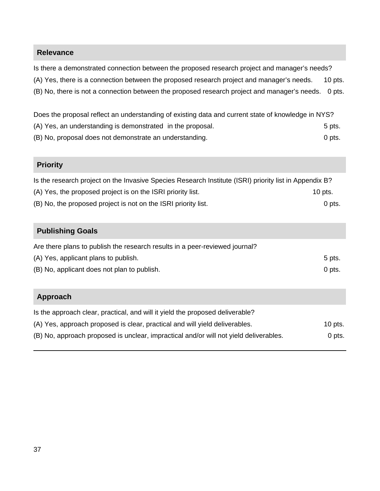#### **Relevance**

Is there a demonstrated connection between the proposed research project and manager's needs? (A) Yes, there is a connection between the proposed research project and manager's needs. 10 pts. (B) No, there is not a connection between the proposed research project and manager's needs. 0 pts.

Does the proposal reflect an understanding of existing data and current state of knowledge in NYS?

- (A) Yes, an understanding is demonstrated in the proposal. 5 pts.
- (B) No, proposal does not demonstrate an understanding. The contract of the contract of pts.

# **Priority**

| Is the research project on the Invasive Species Research Institute (ISRI) priority list in Appendix B? |          |
|--------------------------------------------------------------------------------------------------------|----------|
| (A) Yes, the proposed project is on the ISRI priority list.                                            | 10 pts.  |
| (B) No, the proposed project is not on the ISRI priority list.                                         | $0$ pts. |

#### **Publishing Goals**

| Are there plans to publish the research results in a peer-reviewed journal? |        |
|-----------------------------------------------------------------------------|--------|
| (A) Yes, applicant plans to publish.                                        | 5 pts. |
| (B) No, applicant does not plan to publish.                                 | 0 pts. |

| Approach                                                                              |           |
|---------------------------------------------------------------------------------------|-----------|
| Is the approach clear, practical, and will it yield the proposed deliverable?         |           |
| (A) Yes, approach proposed is clear, practical and will yield deliverables.           | $10$ pts. |
| (B) No, approach proposed is unclear, impractical and/or will not yield deliverables. | 0 pts.    |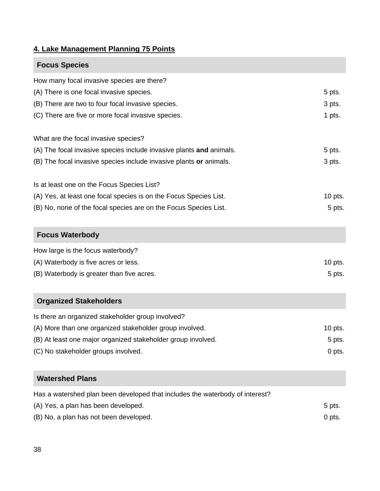# **4. Lake Management Planning 75 Points**

| <b>Focus Species</b>                                                |           |
|---------------------------------------------------------------------|-----------|
| How many focal invasive species are there?                          |           |
| (A) There is one focal invasive species.                            | 5 pts.    |
| (B) There are two to four focal invasive species.                   | 3 pts.    |
| (C) There are five or more focal invasive species.                  | 1 pts.    |
| What are the focal invasive species?                                |           |
| (A) The focal invasive species include invasive plants and animals. | 5 pts.    |
| (B) The focal invasive species include invasive plants or animals.  | 3 pts.    |
| Is at least one on the Focus Species List?                          |           |
| (A) Yes, at least one focal species is on the Focus Species List.   | $10$ pts. |
| (B) No, none of the focal species are on the Focus Species List.    | 5 pts.    |

| <b>Focus Waterbody</b>                    |         |
|-------------------------------------------|---------|
| How large is the focus waterbody?         |         |
| (A) Waterbody is five acres or less.      | 10 pts. |
| (B) Waterbody is greater than five acres. | 5 pts.  |

# **Organized Stakeholders**

| Is there an organized stakeholder group involved?            |          |
|--------------------------------------------------------------|----------|
| (A) More than one organized stakeholder group involved.      | 10 pts.  |
| (B) At least one major organized stakeholder group involved. | $5$ pts. |
| (C) No stakeholder groups involved.                          | 0 pts.   |

# **Watershed Plans**

Has a watershed plan been developed that includes the waterbody of interest?

| (A) Yes, a plan has been developed.    | $5$ pts. |
|----------------------------------------|----------|
| (B) No, a plan has not been developed. | 0 pts.   |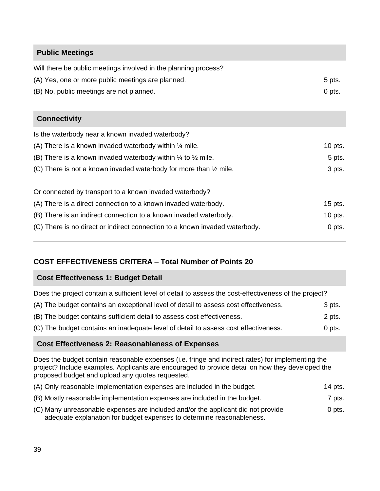# **Public Meetings**

| Will there be public meetings involved in the planning process?   |         |
|-------------------------------------------------------------------|---------|
| (A) Yes, one or more public meetings are planned.                 | 5 pts.  |
| (B) No, public meetings are not planned.                          | 0 pts.  |
|                                                                   |         |
| <b>Connectivity</b>                                               |         |
| Is the waterbody near a known invaded waterbody?                  |         |
| (A) There is a known invaded waterbody within $\frac{1}{4}$ mile. | 10 pts. |

| (B) There is a known invaded waterbody within $\frac{1}{4}$ to $\frac{1}{2}$ mile. | 5 pts.    |
|------------------------------------------------------------------------------------|-----------|
| (C) There is not a known invaded waterbody for more than $\frac{1}{2}$ mile.       | 3 pts.    |
| Or connected by transport to a known invaded waterbody?                            |           |
| (A) There is a direct connection to a known invaded waterbody.                     | $15$ pts. |
| (B) There is an indirect connection to a known invaded waterbody.                  | 10 pts.   |
| (C) There is no direct or indirect connection to a known invaded waterbody.        | $0$ pts.  |

#### **COST EFFECTIVENESS CRITERA** – **Total Number of Points 20**

#### **Cost Effectiveness 1: Budget Detail**

Does the project contain a sufficient level of detail to assess the cost-effectiveness of the project?

| (A) The budget contains an exceptional level of detail to assess cost effectiveness. | 3 pts. |
|--------------------------------------------------------------------------------------|--------|
| (B) The budget contains sufficient detail to assess cost effectiveness.              | 2 pts. |

(C) The budget contains an inadequate level of detail to assess cost effectiveness. 0 pts.

#### **Cost Effectiveness 2: Reasonableness of Expenses**

Does the budget contain reasonable expenses (i.e. fringe and indirect rates) for implementing the project? Include examples. Applicants are encouraged to provide detail on how they developed the proposed budget and upload any quotes requested.

| (A) Only reasonable implementation expenses are included in the budget.                                                                                   | 14 pts. |
|-----------------------------------------------------------------------------------------------------------------------------------------------------------|---------|
| (B) Mostly reasonable implementation expenses are included in the budget.                                                                                 | 7 pts.  |
| (C) Many unreasonable expenses are included and/or the applicant did not provide<br>adequate explanation for budget expenses to determine reasonableness. | 0 pts.  |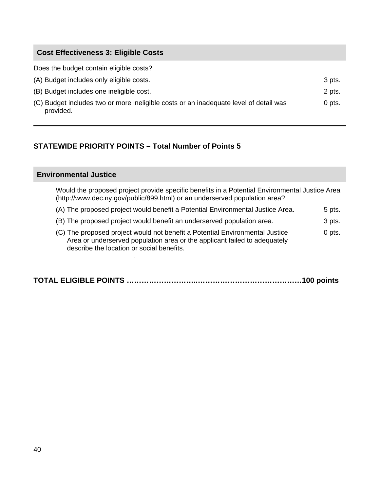#### **Cost Effectiveness 3: Eligible Costs**

Does the budget contain eligible costs?

| (A) Budget includes only eligible costs.                                                           | 3 pts.   |
|----------------------------------------------------------------------------------------------------|----------|
| (B) Budget includes one ineligible cost.                                                           | 2 pts.   |
| (C) Budget includes two or more ineligible costs or an inadequate level of detail was<br>provided. | $0$ pts. |

# **STATEWIDE PRIORITY POINTS – Total Number of Points 5**

#### **Environmental Justice**

.

Would the proposed project provide specific benefits in a Potential Environmental Justice Area (http://www.dec.ny.gov/public/899.html) or an underserved population area?

- (A) The proposed project would benefit a Potential Environmental Justice Area. 5 pts.
- (B) The proposed project would benefit an underserved population area. 3 pts.
- (C) The proposed project would not benefit a Potential Environmental Justice 0 pts. Area or underserved population area or the applicant failed to adequately describe the location or social benefits.

|--|--|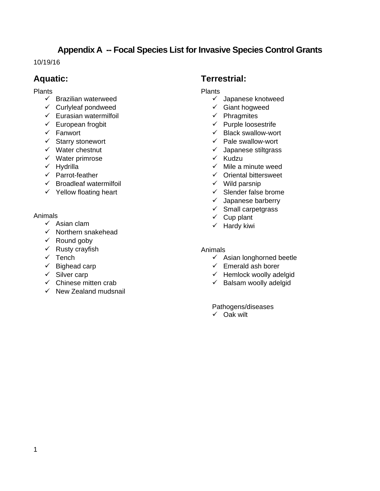# **Appendix A -- Focal Species List for Invasive Species Control Grants**

10/19/16

# **Aquatic:**

#### **Plants**

- $\checkmark$  Brazilian waterweed
- $\checkmark$  Curlyleaf pondweed
- $\checkmark$  Eurasian watermilfoil
- $\checkmark$  European frogbit
- $\checkmark$  Fanwort
- $\checkmark$  Starry stonewort
- $\checkmark$  Water chestnut
- $\checkmark$  Water primrose
- $\checkmark$  Hydrilla
- $\checkmark$  Parrot-feather
- $\checkmark$  Broadleaf watermilfoil
- $\checkmark$  Yellow floating heart

#### Animals

- $\checkmark$  Asian clam
- $\checkmark$  Northern snakehead
- $\checkmark$  Round goby
- $\checkmark$  Rusty crayfish
- $\checkmark$  Tench
- $\checkmark$  Bighead carp
- $\checkmark$  Silver carp
- $\checkmark$  Chinese mitten crab
- $\checkmark$  New Zealand mudsnail

### **Terrestrial:**

- Plants
	- $\checkmark$  Japanese knotweed
	- $\checkmark$  Giant hogweed
	- $\checkmark$  Phragmites
	- $\checkmark$  Purple loosestrife
	- $\checkmark$  Black swallow-wort
	- $\checkmark$  Pale swallow-wort
	- $\checkmark$  Japanese stiltgrass
	- $\checkmark$  Kudzu
	- $\checkmark$  Mile a minute weed
	- $\checkmark$  Oriental bittersweet
	- $\checkmark$  Wild parsnip
	- $\checkmark$  Slender false brome
	- $\checkmark$  Japanese barberry
	- $\checkmark$  Small carpetgrass
	- $\checkmark$  Cup plant
	- $\checkmark$  Hardy kiwi

#### Animals

- $\checkmark$  Asian longhorned beetle
- $\checkmark$  Emerald ash borer
- $\checkmark$  Hemlock woolly adelgid
- $\checkmark$  Balsam woolly adelgid

#### Pathogens/diseases

 $\checkmark$  Oak wilt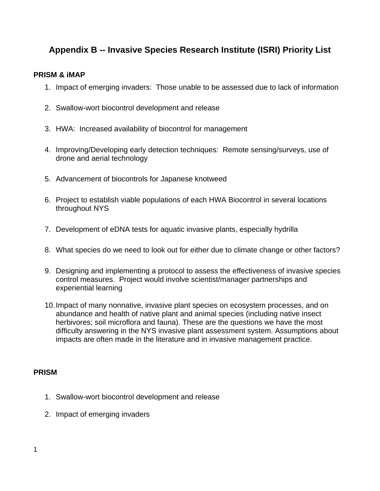# **Appendix B -- Invasive Species Research Institute (ISRI) Priority List**

#### **PRISM & iMAP**

- 1. Impact of emerging invaders: Those unable to be assessed due to lack of information
- 2. Swallow-wort biocontrol development and release
- 3. HWA: Increased availability of biocontrol for management
- 4. Improving/Developing early detection techniques: Remote sensing/surveys, use of drone and aerial technology
- 5. Advancement of biocontrols for Japanese knotweed
- 6. Project to establish viable populations of each HWA Biocontrol in several locations throughout NYS
- 7. Development of eDNA tests for aquatic invasive plants, especially hydrilla
- 8. What species do we need to look out for either due to climate change or other factors?
- 9. Designing and implementing a protocol to assess the effectiveness of invasive species control measures. Project would involve scientist/manager partnerships and experiential learning
- 10. Impact of many nonnative, invasive plant species on ecosystem processes, and on abundance and health of native plant and animal species (including native insect herbivores; soil microflora and fauna). These are the questions we have the most difficulty answering in the NYS invasive plant assessment system. Assumptions about impacts are often made in the literature and in invasive management practice.

#### **PRISM**

- 1. Swallow-wort biocontrol development and release
- 2. Impact of emerging invaders